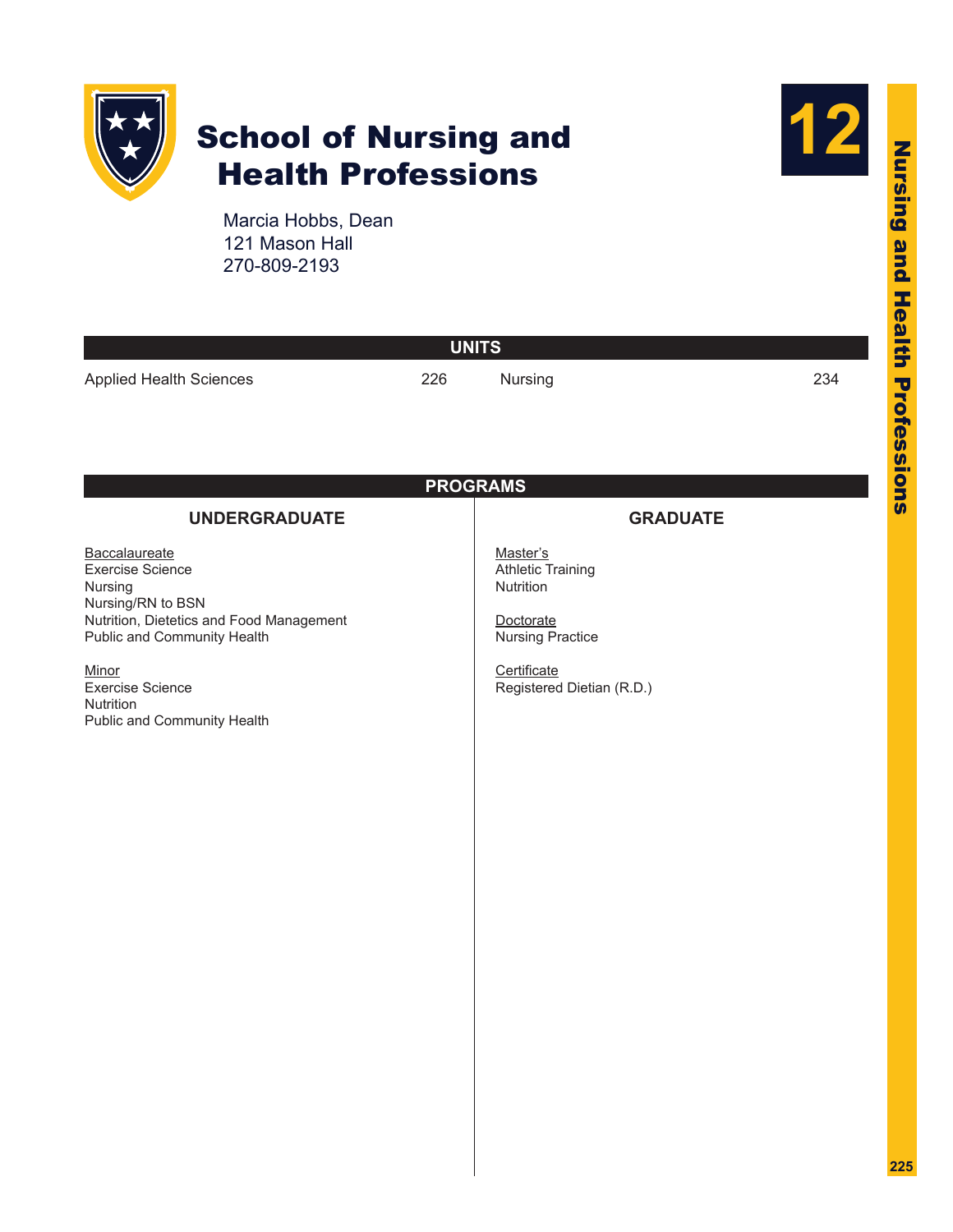

# School of Nursing and Health Professions



Marcia Hobbs, Dean 121 Mason Hall 270-809-2193

| Nursing                                                                                                                               | 234                             |
|---------------------------------------------------------------------------------------------------------------------------------------|---------------------------------|
|                                                                                                                                       |                                 |
| <b>PROGRAMS</b>                                                                                                                       |                                 |
|                                                                                                                                       |                                 |
| Master's<br><b>Athletic Training</b><br>Nutrition<br>Doctorate<br><b>Nursing Practice</b><br>Certificate<br>Registered Dietian (R.D.) |                                 |
|                                                                                                                                       | <b>UNITS</b><br><b>GRADUATE</b> |

**225**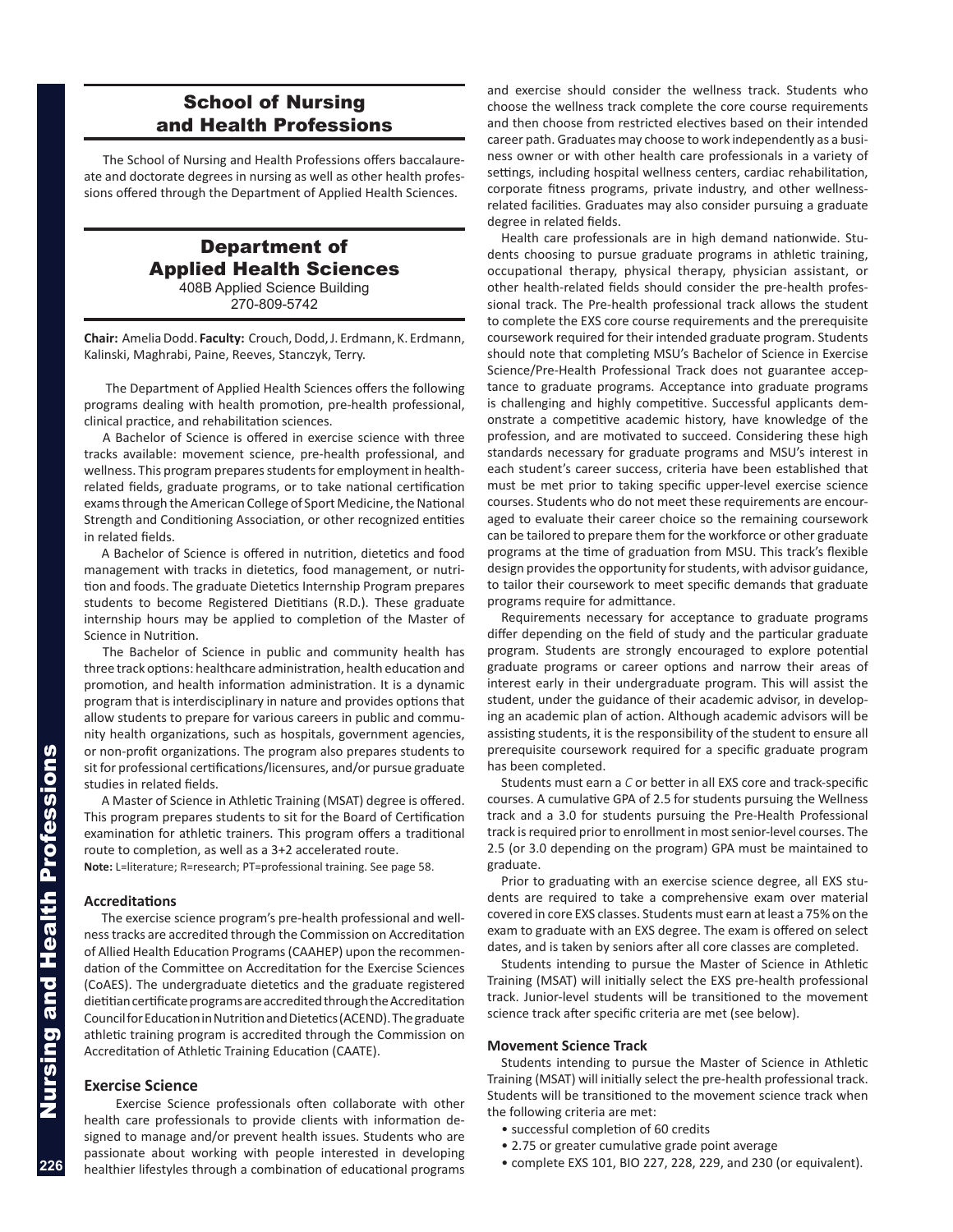# School of Nursing and Health Professions

The School of Nursing and Health Professions offers baccalaureate and doctorate degrees in nursing as well as other health professions offered through the Department of Applied Health Sciences.

# Department of Applied Health Sciences 408B Applied Science Building

270-809-5742

**Chair:** Amelia Dodd. **Faculty:** Crouch, Dodd, J. Erdmann, K. Erdmann, Kalinski, Maghrabi, Paine, Reeves, Stanczyk, Terry.

The Department of Applied Health Sciences offers the following programs dealing with health promotion, pre-health professional, clinical practice, and rehabilitation sciences.

A Bachelor of Science is offered in exercise science with three tracks available: movement science, pre-health professional, and wellness. This program prepares students for employment in healthrelated fields, graduate programs, or to take national certification exams through the American College of Sport Medicine, the National Strength and Conditioning Association, or other recognized entities in related fields.

A Bachelor of Science is offered in nutrition, dietetics and food management with tracks in dietetics, food management, or nutrition and foods. The graduate Dietetics Internship Program prepares students to become Registered Dietitians (R.D.). These graduate internship hours may be applied to completion of the Master of Science in Nutrition.

The Bachelor of Science in public and community health has three track options: healthcare administration, health education and promotion, and health information administration. It is a dynamic program that is interdisciplinary in nature and provides options that allow students to prepare for various careers in public and community health organizations, such as hospitals, government agencies, or non-profit organizations. The program also prepares students to sit for professional certifications/licensures, and/or pursue graduate studies in related fields.

A Master of Science in Athletic Training (MSAT) degree is offered. This program prepares students to sit for the Board of Certification examination for athletic trainers. This program offers a traditional route to completion, as well as a 3+2 accelerated route.

**Note:** L=literature; R=research; PT=professional training. See page 58.

#### **Accreditations**

The exercise science program's pre-health professional and wellness tracks are accredited through the Commission on Accreditation of Allied Health Education Programs (CAAHEP) upon the recommendation of the Committee on Accreditation for the Exercise Sciences (CoAES). The undergraduate dietetics and the graduate registered dietitian certificate programs are accredited through the Accreditation Council for Education in Nutrition and Dietetics (ACEND). The graduate athletic training program is accredited through the Commission on Accreditation of Athletic Training Education (CAATE).

#### **Exercise Science**

 Exercise Science professionals often collaborate with other health care professionals to provide clients with information designed to manage and/or prevent health issues. Students who are passionate about working with people interested in developing healthier lifestyles through a combination of educational programs

and exercise should consider the wellness track. Students who choose the wellness track complete the core course requirements and then choose from restricted electives based on their intended career path. Graduates may choose to work independently as a business owner or with other health care professionals in a variety of settings, including hospital wellness centers, cardiac rehabilitation, corporate fitness programs, private industry, and other wellnessrelated facilities. Graduates may also consider pursuing a graduate degree in related fields.

Health care professionals are in high demand nationwide. Students choosing to pursue graduate programs in athletic training, occupational therapy, physical therapy, physician assistant, or other health-related fields should consider the pre-health professional track. The Pre-health professional track allows the student to complete the EXS core course requirements and the prerequisite coursework required for their intended graduate program. Students should note that completing MSU's Bachelor of Science in Exercise Science/Pre-Health Professional Track does not guarantee acceptance to graduate programs. Acceptance into graduate programs is challenging and highly competitive. Successful applicants demonstrate a competitive academic history, have knowledge of the profession, and are motivated to succeed. Considering these high standards necessary for graduate programs and MSU's interest in each student's career success, criteria have been established that must be met prior to taking specific upper-level exercise science courses. Students who do not meet these requirements are encouraged to evaluate their career choice so the remaining coursework can be tailored to prepare them for the workforce or other graduate programs at the time of graduation from MSU. This track's flexible design provides the opportunity for students, with advisor guidance, to tailor their coursework to meet specific demands that graduate programs require for admittance.

Requirements necessary for acceptance to graduate programs differ depending on the field of study and the particular graduate program. Students are strongly encouraged to explore potential graduate programs or career options and narrow their areas of interest early in their undergraduate program. This will assist the student, under the guidance of their academic advisor, in developing an academic plan of action. Although academic advisors will be assisting students, it is the responsibility of the student to ensure all prerequisite coursework required for a specific graduate program has been completed.

Students must earn a *C* or better in all EXS core and track-specific courses. A cumulative GPA of 2.5 for students pursuing the Wellness track and a 3.0 for students pursuing the Pre-Health Professional track is required prior to enrollment in most senior-level courses. The 2.5 (or 3.0 depending on the program) GPA must be maintained to graduate.

Prior to graduating with an exercise science degree, all EXS students are required to take a comprehensive exam over material covered in core EXS classes. Students must earn at least a 75% on the exam to graduate with an EXS degree. The exam is offered on select dates, and is taken by seniors after all core classes are completed.

Students intending to pursue the Master of Science in Athletic Training (MSAT) will initially select the EXS pre-health professional track. Junior-level students will be transitioned to the movement science track after specific criteria are met (see below).

#### **Movement Science Track**

Students intending to pursue the Master of Science in Athletic Training (MSAT) will initially select the pre-health professional track. Students will be transitioned to the movement science track when the following criteria are met:

- successful completion of 60 credits
- 2.75 or greater cumulative grade point average
- complete EXS 101, BIO 227, 228, 229, and 230 (or equivalent).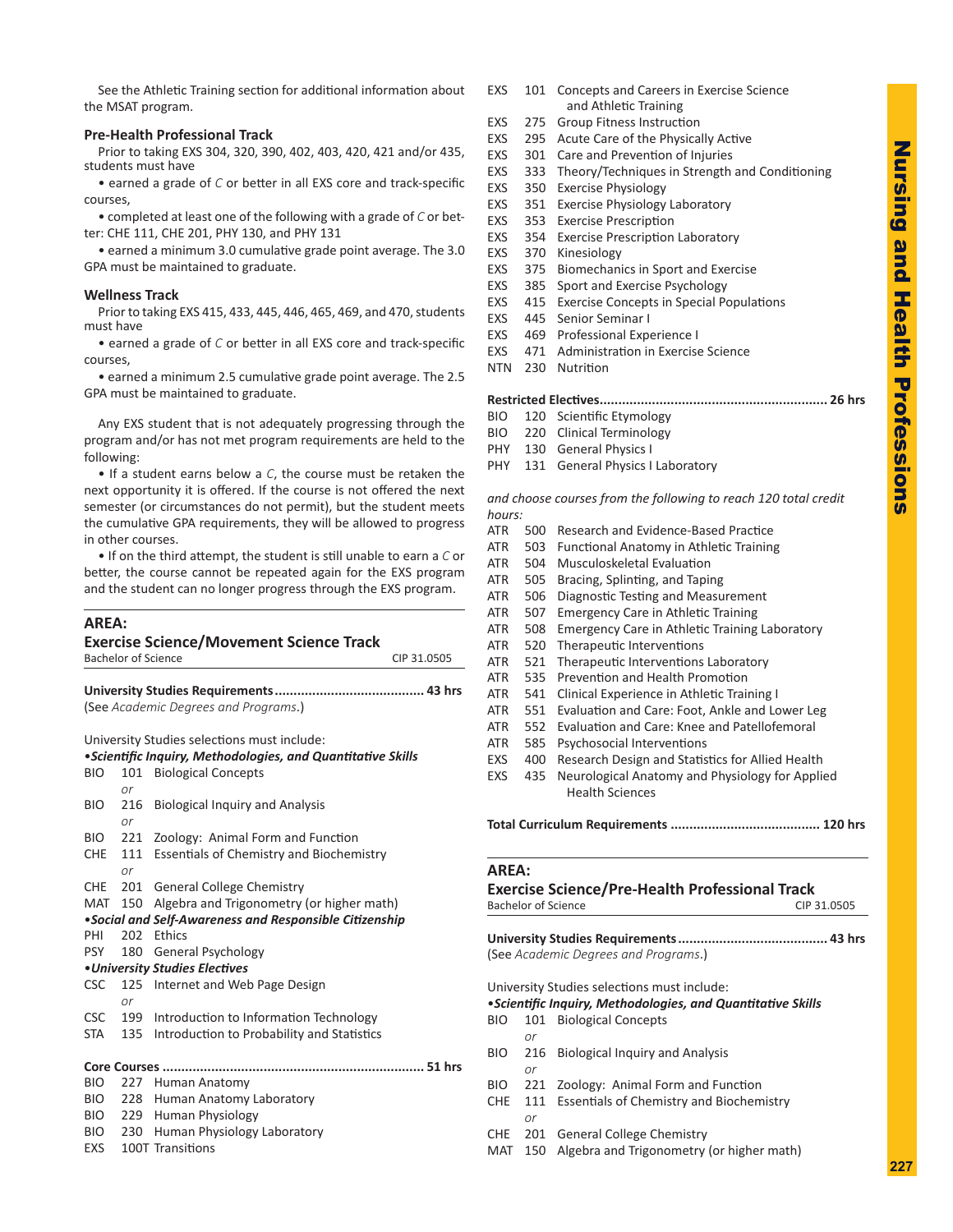See the Athletic Training section for additional information about the MSAT program.

## **Pre-Health Professional Track**

Prior to taking EXS 304, 320, 390, 402, 403, 420, 421 and/or 435, students must have

• earned a grade of *C* or better in all EXS core and track-specific courses,

• completed at least one of the following with a grade of *C* or better: CHE 111, CHE 201, PHY 130, and PHY 131

• earned a minimum 3.0 cumulative grade point average. The 3.0 GPA must be maintained to graduate.

#### **Wellness Track**

Prior to taking EXS 415, 433, 445, 446, 465, 469, and 470, students must have

• earned a grade of *C* or better in all EXS core and track-specific courses,

• earned a minimum 2.5 cumulative grade point average. The 2.5 GPA must be maintained to graduate.

Any EXS student that is not adequately progressing through the program and/or has not met program requirements are held to the following:

• If a student earns below a *C*, the course must be retaken the next opportunity it is offered. If the course is not offered the next semester (or circumstances do not permit), but the student meets the cumulative GPA requirements, they will be allowed to progress in other courses.

• If on the third attempt, the student is still unable to earn a *C* or better, the course cannot be repeated again for the EXS program and the student can no longer progress through the EXS program.

## **AREA:**

|            | <b>Bachelor of Science</b> | <b>Exercise Science/Movement Science Track</b>               | CIP 31.0505 |  |  |
|------------|----------------------------|--------------------------------------------------------------|-------------|--|--|
|            |                            |                                                              |             |  |  |
|            |                            | (See Academic Degrees and Programs.)                         |             |  |  |
|            |                            | University Studies selections must include:                  |             |  |  |
|            |                            | • Scientific Inquiry, Methodologies, and Quantitative Skills |             |  |  |
| <b>BIO</b> | 101<br>or                  | <b>Biological Concepts</b>                                   |             |  |  |
| <b>BIO</b> | 216<br>or                  | <b>Biological Inquiry and Analysis</b>                       |             |  |  |
| <b>BIO</b> | 221                        | Zoology: Animal Form and Function                            |             |  |  |
| <b>CHE</b> | 111                        | <b>Essentials of Chemistry and Biochemistry</b>              |             |  |  |
|            | or                         |                                                              |             |  |  |
| <b>CHE</b> | 201                        | <b>General College Chemistry</b>                             |             |  |  |
| <b>MAT</b> | 150                        | Algebra and Trigonometry (or higher math)                    |             |  |  |
|            |                            | •Social and Self-Awareness and Responsible Citizenship       |             |  |  |
| PHI        | 202                        | <b>Fthics</b>                                                |             |  |  |
| <b>PSY</b> | 180                        | General Psychology                                           |             |  |  |
|            |                            | • University Studies Electives                               |             |  |  |
| <b>CSC</b> | 125                        | Internet and Web Page Design                                 |             |  |  |
|            | or                         |                                                              |             |  |  |
| <b>CSC</b> | 199                        | Introduction to Information Technology                       |             |  |  |
| <b>STA</b> | 135                        | Introduction to Probability and Statistics                   |             |  |  |
|            |                            |                                                              |             |  |  |
| <b>BIO</b> | 227                        | Human Anatomy                                                |             |  |  |
| <b>BIO</b> | 228                        | Human Anatomy Laboratory                                     |             |  |  |
| <b>BIO</b> | 229                        | Human Physiology                                             |             |  |  |
| <b>BIO</b> | 230                        | Human Physiology Laboratory                                  |             |  |  |
| EXS        |                            | 100T Transitions                                             |             |  |  |

- EXS 101 Concepts and Careers in Exercise Science and Athletic Training
- EXS 275 Group Fitness Instruction
- EXS 295 Acute Care of the Physically Active
- EXS 301 Care and Prevention of Injuries
- EXS 333 Theory/Techniques in Strength and Conditioning
- EXS 350 Exercise Physiology
- EXS 351 Exercise Physiology Laboratory
- EXS 353 Exercise Prescription
- EXS 354 Exercise Prescription Laboratory
- EXS 370 Kinesiology
- EXS 375 Biomechanics in Sport and Exercise
- EXS 385 Sport and Exercise Psychology
- EXS 415 Exercise Concepts in Special Populations
- EXS 445 Senior Seminar I
- EXS 469 Professional Experience I
- EXS 471 Administration in Exercise Science
- NTN 230 Nutrition

#### **Restricted Electives............................................................. 26 hrs**

- BIO 120 Scientific Etymology
- BIO 220 Clinical Terminology
- PHY 130 General Physics I
- PHY 131 General Physics I Laboratory

*and choose courses from the following to reach 120 total credit hours:*

- ATR 500 Research and Evidence-Based Practice
- ATR 503 Functional Anatomy in Athletic Training
- ATR 504 Musculoskeletal Evaluation
- ATR 505 Bracing, Splinting, and Taping
- ATR 506 Diagnostic Testing and Measurement
- ATR 507 Emergency Care in Athletic Training
- ATR 508 Emergency Care in Athletic Training Laboratory
- ATR 520 Therapeutic Interventions
- ATR 521 Therapeutic Interventions Laboratory
- ATR 535 Prevention and Health Promotion
- ATR 541 Clinical Experience in Athletic Training I
- ATR 551 Evaluation and Care: Foot, Ankle and Lower Leg
- ATR 552 Evaluation and Care: Knee and Patellofemoral
- ATR 585 Psychosocial Interventions
- EXS 400 Research Design and Statistics for Allied Health
- EXS 435 Neurological Anatomy and Physiology for Applied Health Sciences

**Total Curriculum Requirements ........................................ 120 hrs**

#### **AREA:**

# **Exercise Science/Pre-Health Professional Track** Bachelor of Science CIP 31.0505 **University Studies Requirements........................................ 43 hrs**

(See *Academic Degrees and Programs*.)

University Studies selections must include:

#### •*Scientific Inquiry, Methodologies, and Quantitative Skills*

- BIO 101 Biological Concepts
	- *or*
- BIO 216 Biological Inquiry and Analysis
- *or*
- BIO 221 Zoology: Animal Form and Function
- CHE 111 Essentials of Chemistry and Biochemistry *or*
- CHE 201 General College Chemistry
- MAT 150 Algebra and Trigonometry (or higher math)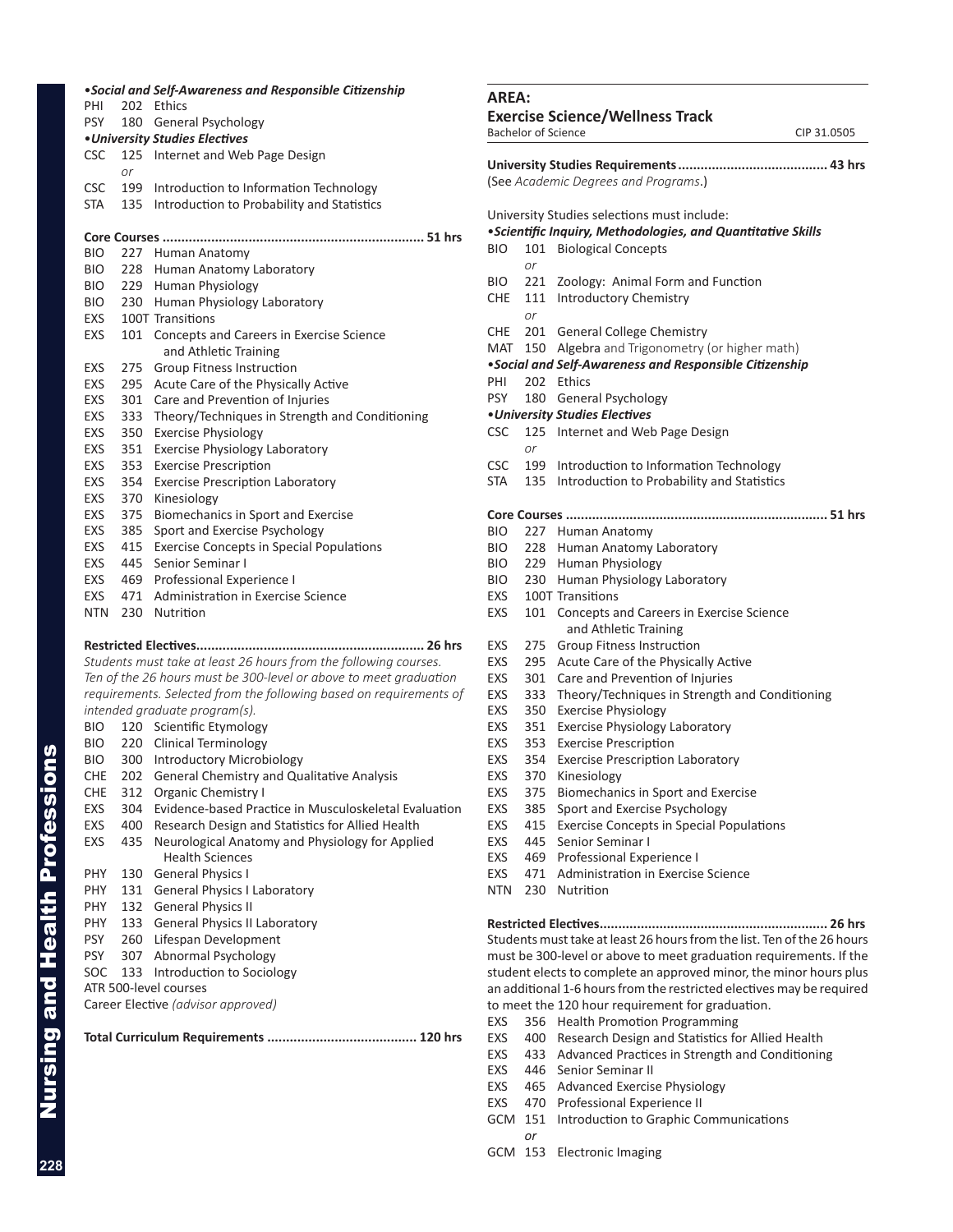|                   |            | . Social and Self-Awareness and Responsible Citizenship             |
|-------------------|------------|---------------------------------------------------------------------|
| PHI               | 202        | Ethics                                                              |
| <b>PSY</b>        | 180        | General Psychology                                                  |
|                   |            | • University Studies Electives                                      |
| CSC               | or         | 125 Internet and Web Page Design                                    |
| CSC               | 199        | Introduction to Information Technology                              |
| STA               | 135        | Introduction to Probability and Statistics                          |
|                   |            |                                                                     |
| <b>BIO</b>        |            | 227 Human Anatomy                                                   |
| BIO.              | 228        | Human Anatomy Laboratory                                            |
| BIO.              | 229        | Human Physiology                                                    |
| BIO               | 230        | Human Physiology Laboratory                                         |
| EXS               |            | 100T Transitions                                                    |
| EXS               | 101        | Concepts and Careers in Exercise Science<br>and Athletic Training   |
| EXS               | 275        | <b>Group Fitness Instruction</b>                                    |
|                   |            | Acute Care of the Physically Active                                 |
| EXS               | 295        |                                                                     |
| <b>EXS</b>        | 301        | Care and Prevention of Injuries                                     |
| EXS               | 333        | Theory/Techniques in Strength and Conditioning                      |
| <b>EXS</b>        | 350        | <b>Exercise Physiology</b>                                          |
| EXS               | 351        | <b>Exercise Physiology Laboratory</b>                               |
| <b>EXS</b>        | 353        | <b>Exercise Prescription</b>                                        |
| EXS               | 354        | <b>Exercise Prescription Laboratory</b>                             |
| <b>EXS</b><br>EXS | 370<br>375 | Kinesiology                                                         |
| EXS               | 385        | Biomechanics in Sport and Exercise<br>Sport and Exercise Psychology |
| EXS               | 415        | <b>Exercise Concepts in Special Populations</b>                     |
| EXS               | 445        | Senior Seminar I                                                    |
| EXS               |            | 469 Professional Experience I                                       |
| EXS               | 471        | Administration in Exercise Science                                  |
| NTN.              | 230        | Nutrition                                                           |
|                   |            | Restricted Electives<br>26 hrs                                      |
|                   |            | Students must take at least 26 hours from the following courses.    |
|                   |            | Ten of the 26 hours must be 300-level or above to meet graduation   |
|                   |            | requirements. Selected from the following based on requirements of  |
|                   |            | intended graduate program(s).                                       |
| BIO.              |            | 120 Scientific Etymology                                            |
| BIO               |            | 220 Clinical Terminology                                            |
| BIO.              |            | 300 Introductory Microbiology                                       |
| CHE               | 202        | General Chemistry and Qualitative Analysis                          |
| CHE               | 312        | Organic Chemistry I                                                 |
| EXS               | 304        | Evidence-based Practice in Musculoskeletal Evaluation               |
| <b>EXS</b>        | 400        | Research Design and Statistics for Allied Health                    |
| <b>EXS</b>        | 435        | Neurological Anatomy and Physiology for Applied                     |
|                   |            | <b>Health Sciences</b>                                              |
| PHY               | 130        | <b>General Physics I</b>                                            |
| PHY               | 131        | <b>General Physics I Laboratory</b>                                 |
| PHY               | 132        | <b>General Physics II</b>                                           |
| PHY               | 133        | <b>General Physics II Laboratory</b>                                |
| <b>PSY</b>        | 260        | Lifespan Development                                                |
| <b>PSY</b>        | 307        | Abnormal Psychology                                                 |
| SOC               | 133        | Introduction to Sociology                                           |
|                   |            | ATR 500-level courses                                               |
|                   |            | Career Elective (advisor approved)                                  |
|                   |            |                                                                     |

| AREA:                                                                                                                                    |            |                                                                                                                   |  |  |
|------------------------------------------------------------------------------------------------------------------------------------------|------------|-------------------------------------------------------------------------------------------------------------------|--|--|
|                                                                                                                                          |            | <b>Exercise Science/Wellness Track</b><br><b>Bachelor of Science</b><br>CIP 31.0505                               |  |  |
|                                                                                                                                          |            |                                                                                                                   |  |  |
|                                                                                                                                          |            | (See Academic Degrees and Programs.)                                                                              |  |  |
|                                                                                                                                          |            |                                                                                                                   |  |  |
|                                                                                                                                          |            | University Studies selections must include:<br><i>·Scientific Inquiry, Methodologies, and Quantitative Skills</i> |  |  |
| BIO                                                                                                                                      | 101<br>or  | <b>Biological Concepts</b>                                                                                        |  |  |
| BIO                                                                                                                                      | 221        | Zoology: Animal Form and Function                                                                                 |  |  |
| CHE                                                                                                                                      | 111        | <b>Introductory Chemistry</b>                                                                                     |  |  |
|                                                                                                                                          | or         |                                                                                                                   |  |  |
| CHE                                                                                                                                      |            | 201 General College Chemistry                                                                                     |  |  |
| MAT                                                                                                                                      |            | 150 Algebra and Trigonometry (or higher math)<br>• Social and Self-Awareness and Responsible Citizenship          |  |  |
| PHI                                                                                                                                      |            | 202 Ethics                                                                                                        |  |  |
| <b>PSY</b>                                                                                                                               | 180        | General Psychology                                                                                                |  |  |
|                                                                                                                                          |            | <b>.</b> University Studies Electives                                                                             |  |  |
| CSC                                                                                                                                      | 125<br>or  | Internet and Web Page Design                                                                                      |  |  |
| <b>CSC</b>                                                                                                                               | 199        | Introduction to Information Technology                                                                            |  |  |
| STA                                                                                                                                      | 135        | Introduction to Probability and Statistics                                                                        |  |  |
|                                                                                                                                          |            |                                                                                                                   |  |  |
|                                                                                                                                          |            | 51 hrs<br>Core Courses                                                                                            |  |  |
| BIO                                                                                                                                      |            | 227 Human Anatomy                                                                                                 |  |  |
| BIO                                                                                                                                      |            | 228 Human Anatomy Laboratory                                                                                      |  |  |
| BIO                                                                                                                                      |            | 229 Human Physiology                                                                                              |  |  |
| BIO                                                                                                                                      | 230        | Human Physiology Laboratory                                                                                       |  |  |
| EXS                                                                                                                                      |            | 100T Transitions                                                                                                  |  |  |
| EXS                                                                                                                                      | 101        | Concepts and Careers in Exercise Science<br>and Athletic Training                                                 |  |  |
| EXS                                                                                                                                      | 275        | Group Fitness Instruction                                                                                         |  |  |
| EXS                                                                                                                                      | 295        | Acute Care of the Physically Active                                                                               |  |  |
| EXS                                                                                                                                      | 301        | Care and Prevention of Injuries                                                                                   |  |  |
| EXS                                                                                                                                      | 333        | Theory/Techniques in Strength and Conditioning                                                                    |  |  |
| EXS                                                                                                                                      | 350        | <b>Exercise Physiology</b>                                                                                        |  |  |
| EXS<br>EXS                                                                                                                               | 351        | Exercise Physiology Laboratory<br><b>Exercise Prescription</b>                                                    |  |  |
| EXS                                                                                                                                      | 353<br>354 | <b>Exercise Prescription Laboratory</b>                                                                           |  |  |
| EXS                                                                                                                                      | 370        | Kinesiology                                                                                                       |  |  |
| EXS                                                                                                                                      | 375        | Biomechanics in Sport and Exercise                                                                                |  |  |
| EXS                                                                                                                                      | 385        | Sport and Exercise Psychology                                                                                     |  |  |
| EXS                                                                                                                                      | 415        | <b>Exercise Concepts in Special Populations</b>                                                                   |  |  |
| EXS                                                                                                                                      | 445        | Senior Seminar I                                                                                                  |  |  |
| EXS                                                                                                                                      | 469        | Professional Experience I                                                                                         |  |  |
| EXS                                                                                                                                      | 471        | Administration in Exercise Science                                                                                |  |  |
| NTN                                                                                                                                      | 230        | Nutrition                                                                                                         |  |  |
|                                                                                                                                          |            |                                                                                                                   |  |  |
|                                                                                                                                          |            |                                                                                                                   |  |  |
|                                                                                                                                          |            | Students must take at least 26 hours from the list. Ten of the 26 hours                                           |  |  |
| must be 300-level or above to meet graduation requirements. If the<br>student elects to complete an approved minor, the minor hours plus |            |                                                                                                                   |  |  |
|                                                                                                                                          |            | an additional 1-6 hours from the restricted electives may be required                                             |  |  |
|                                                                                                                                          |            | to meet the 120 hour requirement for graduation.                                                                  |  |  |
| EXS                                                                                                                                      |            | 356 Health Promotion Programming                                                                                  |  |  |
| EXS                                                                                                                                      | 400        | Research Design and Statistics for Allied Health                                                                  |  |  |
| EXS                                                                                                                                      | 433        | Advanced Practices in Strength and Conditioning                                                                   |  |  |
| EXS                                                                                                                                      |            | 446 Senior Seminar II                                                                                             |  |  |
| EXS                                                                                                                                      |            | 465 Advanced Exercise Physiology                                                                                  |  |  |

- EXS 470 Professional Experience II
- GCM 151 Introduction to Graphic Communications
	- *or*
- GCM 153 Electronic Imaging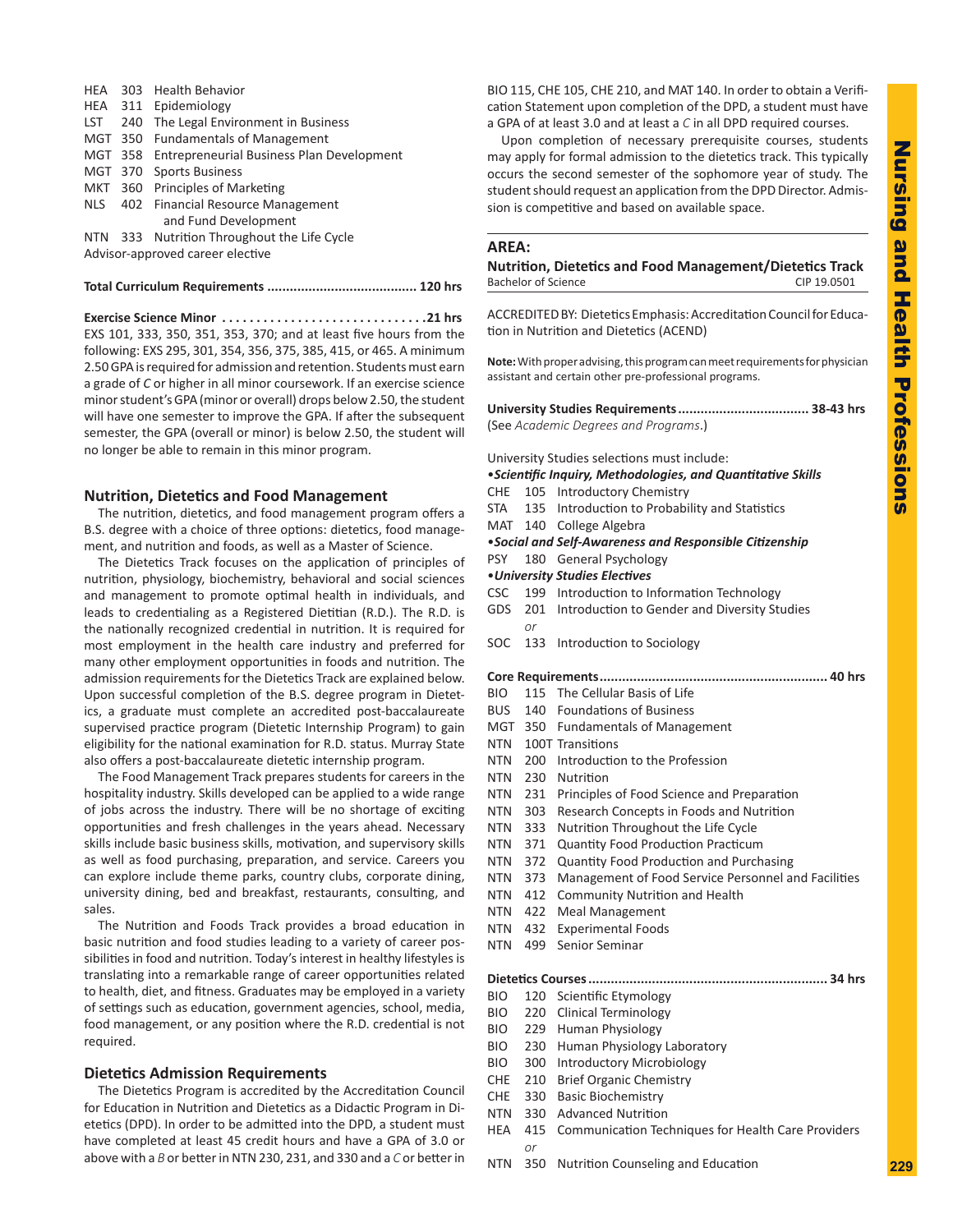HEA 303 Health Behavior HEA 311 Epidemiology LST 240 The Legal Environment in Business MGT 350 Fundamentals of Management MGT 358 Entrepreneurial Business Plan Development MGT 370 Sports Business MKT 360 Principles of Marketing NLS 402 Financial Resource Management and Fund Development NTN 333 Nutrition Throughout the Life Cycle Advisor-approved career elective

**Total Curriculum Requirements ........................................ 120 hrs**

**Exercise Science Minor. 21 hrs** EXS 101, 333, 350, 351, 353, 370; and at least five hours from the following: EXS 295, 301, 354, 356, 375, 385, 415, or 465. A minimum 2.50 GPA is required for admission and retention. Students must earn a grade of *C* or higher in all minor coursework. If an exercise science minor student's GPA (minor or overall) drops below 2.50, the student will have one semester to improve the GPA. If after the subsequent semester, the GPA (overall or minor) is below 2.50, the student will no longer be able to remain in this minor program.

## **Nutrition, Dietetics and Food Management**

The nutrition, dietetics, and food management program offers a B.S. degree with a choice of three options: dietetics, food management, and nutrition and foods, as well as a Master of Science.

The Dietetics Track focuses on the application of principles of nutrition, physiology, biochemistry, behavioral and social sciences and management to promote optimal health in individuals, and leads to credentialing as a Registered Dietitian (R.D.). The R.D. is the nationally recognized credential in nutrition. It is required for most employment in the health care industry and preferred for many other employment opportunities in foods and nutrition. The admission requirements for the Dietetics Track are explained below. Upon successful completion of the B.S. degree program in Dietetics, a graduate must complete an accredited post-baccalaureate supervised practice program (Dietetic Internship Program) to gain eligibility for the national examination for R.D. status. Murray State also offers a post-baccalaureate dietetic internship program.

The Food Management Track prepares students for careers in the hospitality industry. Skills developed can be applied to a wide range of jobs across the industry. There will be no shortage of exciting opportunities and fresh challenges in the years ahead. Necessary skills include basic business skills, motivation, and supervisory skills as well as food purchasing, preparation, and service. Careers you can explore include theme parks, country clubs, corporate dining, university dining, bed and breakfast, restaurants, consulting, and sales.

The Nutrition and Foods Track provides a broad education in basic nutrition and food studies leading to a variety of career possibilities in food and nutrition. Today's interest in healthy lifestyles is translating into a remarkable range of career opportunities related to health, diet, and fitness. Graduates may be employed in a variety of settings such as education, government agencies, school, media, food management, or any position where the R.D. credential is not required.

#### **Dietetics Admission Requirements**

The Dietetics Program is accredited by the Accreditation Council for Education in Nutrition and Dietetics as a Didactic Program in Dietetics (DPD). In order to be admitted into the DPD, a student must have completed at least 45 credit hours and have a GPA of 3.0 or above with a *B* or better in NTN 230, 231, and 330 and a *C* or better in BIO 115, CHE 105, CHE 210, and MAT 140. In order to obtain a Verification Statement upon completion of the DPD, a student must have a GPA of at least 3.0 and at least a *C* in all DPD required courses.

Upon completion of necessary prerequisite courses, students may apply for formal admission to the dietetics track. This typically occurs the second semester of the sophomore year of study. The student should request an application from the DPD Director. Admission is competitive and based on available space.

#### **AREA:**

**Nutrition, Dietetics and Food Management/Dietetics Track** Bachelor of Science CIP 19.0501

ACCREDITED BY: Dietetics Emphasis:Accreditation Council for Education in Nutrition and Dietetics (ACEND)

**Note:** With proper advising, this program can meet requirements for physician assistant and certain other pre-professional programs.

**University Studies Requirements................................... 38-43 hrs** (See *Academic Degrees and Programs*.)

University Studies selections must include:

#### •*Scientific Inquiry, Methodologies, and Quantitative Skills*

- CHE 105 Introductory Chemistry
- STA 135 Introduction to Probability and Statistics
- MAT 140 College Algebra

# •*Social and Self-Awareness and Responsible Citizenship*

- PSY 180 General Psychology •*University Studies Electives*
- 
- CSC 199 Introduction to Information Technology
- GDS 201 Introduction to Gender and Diversity Studies *or*
- SOC 133 Introduction to Sociology

|--|--|--|--|

- BIO 115 The Cellular Basis of Life
- BUS 140 Foundations of Business
- MGT 350 Fundamentals of Management
- NTN 100T Transitions
- NTN 200 Introduction to the Profession
- NTN 230 Nutrition
- NTN 231 Principles of Food Science and Preparation
- NTN 303 Research Concepts in Foods and Nutrition
- NTN 333 Nutrition Throughout the Life Cycle
- NTN 371 Quantity Food Production Practicum
- NTN 372 Quantity Food Production and Purchasing
- NTN 373 Management of Food Service Personnel and Facilities
- NTN 412 Community Nutrition and Health
- NTN 422 Meal Management
- NTN 432 Experimental Foods
- NTN 499 Senior Seminar

#### **Dietetics Courses................................................................ 34 hrs**

- BIO 120 Scientific Etymology
- BIO 220 Clinical Terminology
- BIO 229 Human Physiology
- BIO 230 Human Physiology Laboratory
- BIO 300 Introductory Microbiology
- CHE 210 Brief Organic Chemistry
- CHE 330 Basic Biochemistry
- NTN 330 Advanced Nutrition
- HEA 415 Communication Techniques for Health Care Providers *or*
- NTN 350 Nutrition Counseling and Education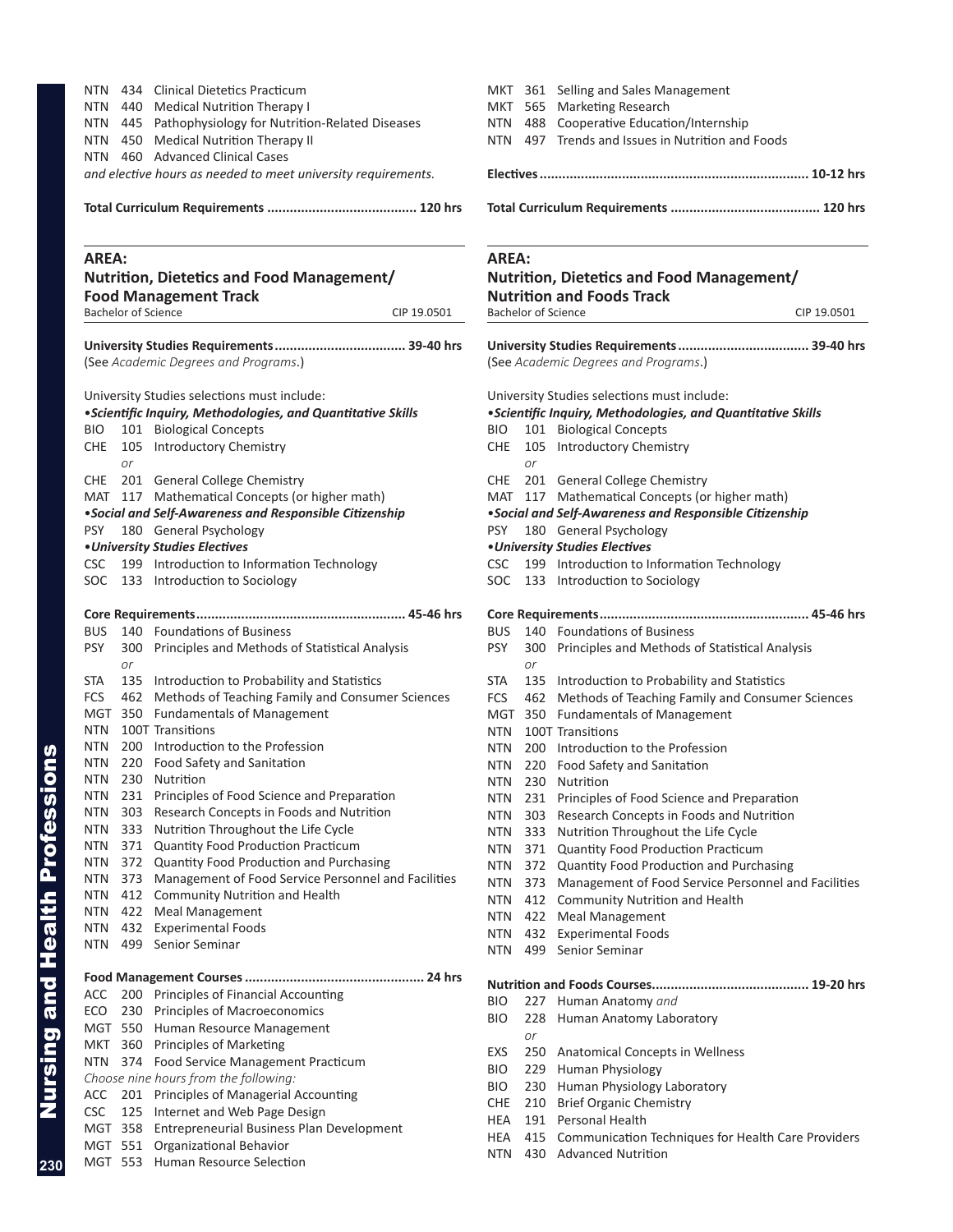| NTN<br>434 Clinical Dietetics Practicum                                            | MKT 361 Selling and Sales Management                                               |
|------------------------------------------------------------------------------------|------------------------------------------------------------------------------------|
| <b>NTN</b><br>440 Medical Nutrition Therapy I                                      | MKT 565 Marketing Research                                                         |
| 445 Pathophysiology for Nutrition-Related Diseases<br>NTN.                         | 488 Cooperative Education/Internship<br>NTN                                        |
| 450 Medical Nutrition Therapy II<br>NTN                                            | 497 Trends and Issues in Nutrition and Foods<br>NTN                                |
| NTN 460 Advanced Clinical Cases                                                    |                                                                                    |
| and elective hours as needed to meet university requirements.                      |                                                                                    |
|                                                                                    |                                                                                    |
| <b>AREA:</b>                                                                       | <b>AREA:</b>                                                                       |
| <b>Nutrition, Dietetics and Food Management/</b>                                   | Nutrition, Dietetics and Food Management/                                          |
| <b>Food Management Track</b>                                                       | <b>Nutrition and Foods Track</b>                                                   |
| <b>Bachelor of Science</b><br>CIP 19.0501                                          | <b>Bachelor of Science</b>                                                         |
|                                                                                    |                                                                                    |
| (See Academic Degrees and Programs.)                                               | (See Academic Degrees and Programs.)                                               |
| University Studies selections must include:                                        | University Studies selections must include:                                        |
| • Scientific Inquiry, Methodologies, and Quantitative Skills                       | <i>·Scientific Inquiry, Methodologies, and Quantitative S</i>                      |
| 101 Biological Concepts<br>BIO.<br>105 Introductory Chemistry<br>CHE               | 101 Biological Concepts<br>BIO.<br>105 Introductory Chemistry<br>CHE               |
| or                                                                                 | or                                                                                 |
| 201 General College Chemistry<br>CHE.                                              | 201 General College Chemistry<br>CHE                                               |
| MAT 117 Mathematical Concepts (or higher math)                                     | MAT 117 Mathematical Concepts (or higher math)                                     |
| • Social and Self-Awareness and Responsible Citizenship                            | · Social and Self-Awareness and Responsible Citizensh                              |
| <b>PSY</b><br>180 General Psychology                                               | 180 General Psychology<br>PSY                                                      |
| • University Studies Electives                                                     | <b>.</b> University Studies Electives                                              |
| 199 Introduction to Information Technology<br>CSC                                  | 199 Introduction to Information Technology<br>CSC.                                 |
| <b>SOC</b><br>133 Introduction to Sociology                                        | SOC<br>133 Introduction to Sociology                                               |
|                                                                                    |                                                                                    |
| 140 Foundations of Business<br><b>BUS</b>                                          | 140 Foundations of Business<br><b>BUS</b>                                          |
| <b>PSY</b><br>300 Principles and Methods of Statistical Analysis<br>or             | PSY<br>300 Principles and Methods of Statistical Analy<br>or                       |
| 135 Introduction to Probability and Statistics<br>STA                              | <b>STA</b><br>135 Introduction to Probability and Statistics                       |
| 462 Methods of Teaching Family and Consumer Sciences<br><b>FCS</b>                 | 462 Methods of Teaching Family and Consume<br><b>FCS</b>                           |
| MGT 350 Fundamentals of Management                                                 | MGT 350 Fundamentals of Management                                                 |
| 100T Transitions<br><b>NTN</b><br>200 Introduction to the Profession<br><b>NTN</b> | 100T Transitions<br><b>NTN</b>                                                     |
| 220 Food Safety and Sanitation<br><b>NTN</b>                                       | 200 Introduction to the Profession<br>NTN<br>NTN<br>220 Food Safety and Sanitation |
| NTN<br>230<br>Nutrition                                                            | NTN<br>230 Nutrition                                                               |
| Principles of Food Science and Preparation<br><b>NTN</b><br>231                    | NTN<br>231<br>Principles of Food Science and Preparation                           |
| 303<br>Research Concepts in Foods and Nutrition<br><b>NTN</b>                      | <b>NTN</b><br>303<br>Research Concepts in Foods and Nutrition                      |
| 333<br>Nutrition Throughout the Life Cycle<br><b>NTN</b>                           | <b>NTN</b><br>333<br>Nutrition Throughout the Life Cycle                           |
| <b>NTN</b><br>371 Quantity Food Production Practicum                               | <b>NTN</b><br>371<br>Quantity Food Production Practicum                            |
| <b>NTN</b><br>372<br>Quantity Food Production and Purchasing                       | <b>NTN</b><br>Quantity Food Production and Purchasing<br>372                       |
| <b>NTN</b><br>373<br>Management of Food Service Personnel and Facilities           | <b>NTN</b><br>373<br>Management of Food Service Personnel ar                       |
| <b>NTN</b><br>412<br>Community Nutrition and Health                                | <b>NTN</b><br>412<br><b>Community Nutrition and Health</b>                         |
| <b>NTN</b><br>422<br><b>Meal Management</b>                                        | 422<br>Meal Management<br>NTN                                                      |
| <b>Experimental Foods</b><br><b>NTN</b><br>432                                     | 432 Experimental Foods<br>NTN                                                      |
| Senior Seminar<br><b>NTN</b><br>499                                                | <b>NTN</b><br>499 Senior Seminar                                                   |
| 200 Principles of Financial Accounting<br>ACC                                      |                                                                                    |
| ECO<br>230 Principles of Macroeconomics                                            | BIO<br>227 Human Anatomy and                                                       |
| 550 Human Resource Management<br>MGT                                               | BIO<br>228 Human Anatomy Laboratory                                                |
| 360 Principles of Marketing<br>MKT                                                 | or                                                                                 |
| 374 Food Service Management Practicum<br>NTN.                                      | EXS<br>250 Anatomical Concepts in Wellness                                         |
| Choose nine hours from the following:                                              | 229 Human Physiology<br>BIO                                                        |
| 201 Principles of Managerial Accounting<br>ACC                                     | 230 Human Physiology Laboratory<br>BIO                                             |
| <b>CSC</b><br>125 Internet and Web Page Design                                     | <b>CHE</b><br>210<br><b>Brief Organic Chemistry</b>                                |
| MGT 358 Entrepreneurial Business Plan Development                                  | 191 Personal Health<br>HEA                                                         |
| MGT 551 Organizational Behavior                                                    | 415 Communication Techniques for Health Card<br>HEA                                |
|                                                                                    |                                                                                    |

|  | MKT 361 Selling and Sales Management             |
|--|--------------------------------------------------|
|  | MKT 565 Marketing Research                       |
|  | NTN 488 Cooperative Education/Internship         |
|  | NTN 497 Trends and Issues in Nutrition and Foods |
|  |                                                  |

|            |           | <b>Bachelor of Science</b><br>CIP 19.0501                                 |
|------------|-----------|---------------------------------------------------------------------------|
|            |           |                                                                           |
|            |           | (See Academic Degrees and Programs.)                                      |
|            |           | University Studies selections must include:                               |
|            |           | <i><b>•Scientific Inquiry, Methodologies, and Quantitative Skills</b></i> |
| BIO.       | 101       | <b>Biological Concepts</b>                                                |
| CHE        | 105<br>or | <b>Introductory Chemistry</b>                                             |
| <b>CHE</b> |           | 201 General College Chemistry                                             |
|            |           | MAT 117 Mathematical Concepts (or higher math)                            |
|            |           | • Social and Self-Awareness and Responsible Citizenship                   |
| <b>PSY</b> |           | 180 General Psychology                                                    |
|            |           | • University Studies Electives                                            |
| <b>CSC</b> |           | 199 Introduction to Information Technology                                |
| SOC.       |           | 133 Introduction to Sociology                                             |
|            |           |                                                                           |
| <b>BUS</b> |           | 140 Foundations of Business                                               |
| <b>PSY</b> | 300       | Principles and Methods of Statistical Analysis                            |
|            | or        |                                                                           |
| <b>STA</b> |           | 135 Introduction to Probability and Statistics                            |
| <b>FCS</b> |           | 462 Methods of Teaching Family and Consumer Sciences                      |
| MGT        | 350       | <b>Fundamentals of Management</b>                                         |
| NTN        |           | 100T Transitions                                                          |
| NTN.       |           | 200 Introduction to the Profession                                        |
| NTN.       |           | 220 Food Safety and Sanitation                                            |
| NTN.       | 230       | Nutrition                                                                 |
| NTN.       | 231       | Principles of Food Science and Preparation                                |
| NTN.       | 303       | Research Concepts in Foods and Nutrition                                  |
| NTN.       | 333       | Nutrition Throughout the Life Cycle                                       |
| NTN.       | 371       | Quantity Food Production Practicum                                        |
| NTN.       | 372       | Quantity Food Production and Purchasing                                   |
| NTN.       | 373       | Management of Food Service Personnel and Facilities                       |
| NTN.       | 412       | <b>Community Nutrition and Health</b>                                     |
| NTN.       | 422       | Meal Management                                                           |
| NTN.       | 432       | <b>Experimental Foods</b>                                                 |
| <b>NTN</b> | 499       | Senior Seminar                                                            |
|            |           | 19-20 hrs<br><b>Nutrition and Foods Courses</b>                           |
| BIO        | 227       | Human Anatomy and                                                         |
| BIO        | 228       | Human Anatomy Laboratory                                                  |
|            | or        |                                                                           |
| EXS        | 250       | <b>Anatomical Concepts in Wellness</b>                                    |
| BIO        | 229       | Human Physiology                                                          |
| <b>BIO</b> | 230       | Human Physiology Laboratory                                               |
| <b>CHE</b> | 210       | <b>Brief Organic Chemistry</b>                                            |
|            | 191       | Personal Health                                                           |
| HEA        |           |                                                                           |
| HEA        | 415       | Communication Techniques for Health Care Providers                        |

MGT 553 Human Resource Selection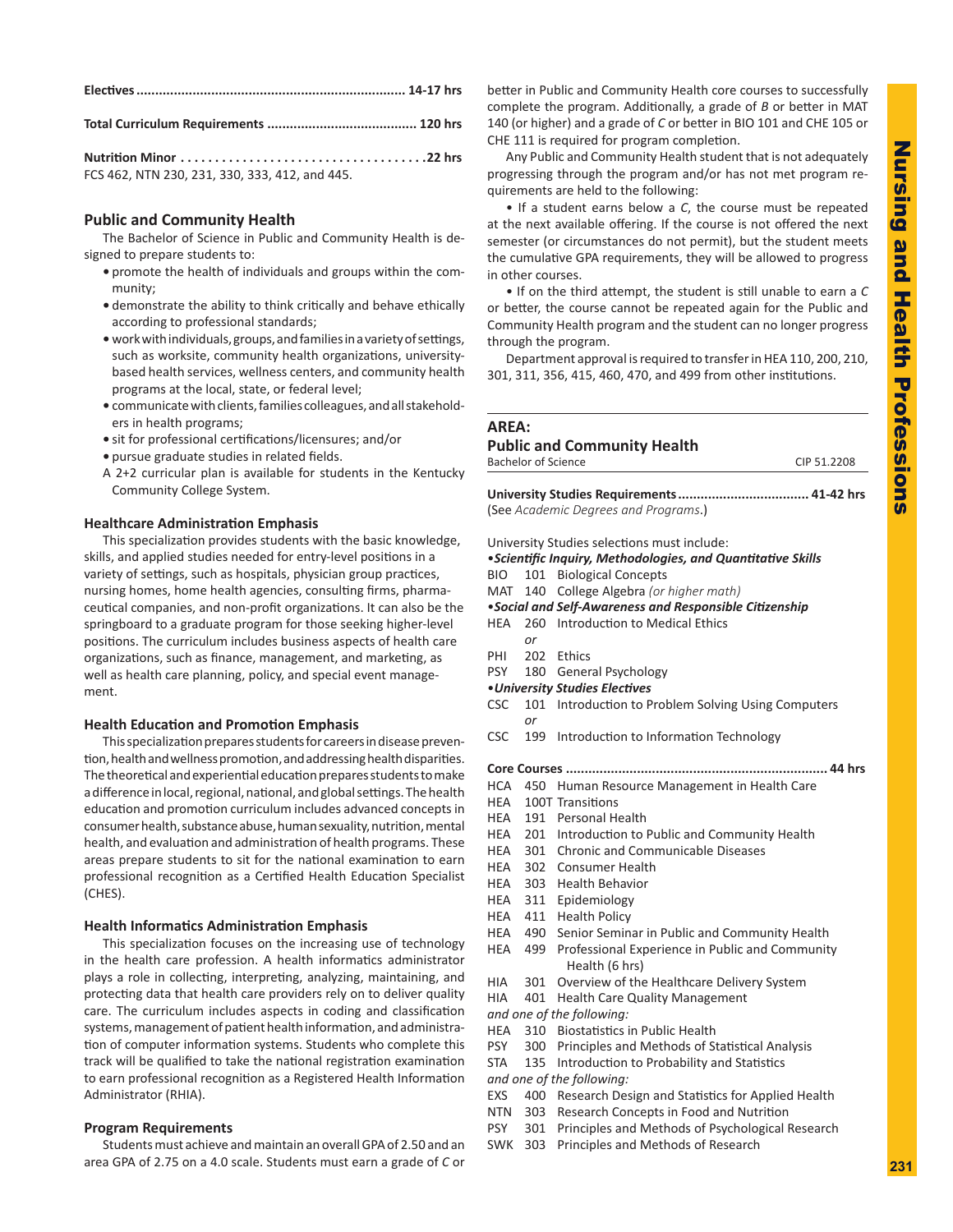|--|--|--|

**Total Curriculum Requirements ........................................ 120 hrs**

| Nutrition Minor $\dots\dots\dots\dots\dots\dots\dots\dots\dots\dots\dots$ . 22 hrs |  |
|------------------------------------------------------------------------------------|--|
| FCS 462, NTN 230, 231, 330, 333, 412, and 445.                                     |  |

# **Public and Community Health**

The Bachelor of Science in Public and Community Health is designed to prepare students to:

- **•** promote the health of individuals and groups within the community;
- **•** demonstrate the ability to think critically and behave ethically according to professional standards;
- **•** work with individuals, groups, and families in a variety of settings, such as worksite, community health organizations, universitybased health services, wellness centers, and community health programs at the local, state, or federal level;
- **•** communicate with clients, families colleagues, and all stakeholders in health programs;
- **•** sit for professional certifications/licensures; and/or
- **•** pursue graduate studies in related fields.
- A 2+2 curricular plan is available for students in the Kentucky Community College System.

# **Healthcare Administration Emphasis**

This specialization provides students with the basic knowledge, skills, and applied studies needed for entry-level positions in a variety of settings, such as hospitals, physician group practices, nursing homes, home health agencies, consulting firms, pharmaceutical companies, and non-profit organizations. It can also be the springboard to a graduate program for those seeking higher-level positions. The curriculum includes business aspects of health care organizations, such as finance, management, and marketing, as well as health care planning, policy, and special event management.

# **Health Education and Promotion Emphasis**

This specialization prepares students for careers in disease prevention, health and wellness promotion, and addressing health disparities. The theoretical and experiential education prepares students to make a difference in local, regional, national, and global settings. The health education and promotion curriculum includes advanced concepts in consumer health, substance abuse, human sexuality, nutrition, mental health, and evaluation and administration of health programs. These areas prepare students to sit for the national examination to earn professional recognition as a Certified Health Education Specialist (CHES).

# **Health Informatics Administration Emphasis**

This specialization focuses on the increasing use of technology in the health care profession. A health informatics administrator plays a role in collecting, interpreting, analyzing, maintaining, and protecting data that health care providers rely on to deliver quality care. The curriculum includes aspects in coding and classification systems, management of patient health information, and administration of computer information systems. Students who complete this track will be qualified to take the national registration examination to earn professional recognition as a Registered Health Information Administrator (RHIA).

# **Program Requirements**

Students must achieve and maintain an overall GPA of 2.50 and an area GPA of 2.75 on a 4.0 scale. Students must earn a grade of *C* or

better in Public and Community Health core courses to successfully complete the program. Additionally, a grade of *B* or better in MAT 140 (or higher) and a grade of *C* or better in BIO 101 and CHE 105 or CHE 111 is required for program completion.

Any Public and Community Health student that is not adequately progressing through the program and/or has not met program requirements are held to the following:

• If a student earns below a *C*, the course must be repeated at the next available offering. If the course is not offered the next semester (or circumstances do not permit), but the student meets the cumulative GPA requirements, they will be allowed to progress in other courses.

• If on the third attempt, the student is still unable to earn a *C* or better, the course cannot be repeated again for the Public and Community Health program and the student can no longer progress through the program.

Department approval is required to transfer in HEA 110, 200, 210, 301, 311, 356, 415, 460, 470, and 499 from other institutions.

# **AREA:**

# **Public and Community Health**

| <b>Bachelor of Science</b> | CIP 51.2208 |
|----------------------------|-------------|
|                            |             |

**University Studies Requirements................................... 41-42 hrs** (See *Academic Degrees and Programs*.)

University Studies selections must include:

- •*Scientific Inquiry, Methodologies, and Quantitative Skills*
- BIO 101 Biological Concepts
- MAT 140 College Algebra *(or higher math)*
- •*Social and Self-Awareness and Responsible Citizenship*
- HEA 260 Introduction to Medical Ethics
- *or*
- PHI 202 Ethics
- PSY 180 General Psychology
- •*University Studies Electives*
- CSC 101 Introduction to Problem Solving Using Computers *or*
- CSC 199 Introduction to Information Technology
- **Core Courses ...................................................................... 44 hrs**
- HCA 450 Human Resource Management in Health Care
- HEA 100T Transitions
- HEA 191 Personal Health
- HEA 201 Introduction to Public and Community Health
- HEA 301 Chronic and Communicable Diseases
- HEA 302 Consumer Health
- HEA 303 Health Behavior
- HEA 311 Epidemiology
- HEA 411 Health Policy
- HEA 490 Senior Seminar in Public and Community Health
- HEA 499 Professional Experience in Public and Community Health (6 hrs)
- HIA 301 Overview of the Healthcare Delivery System
- HIA 401 Health Care Quality Management
- *and one of the following:*
- HEA 310 Biostatistics in Public Health
- PSY 300 Principles and Methods of Statistical Analysis
- STA 135 Introduction to Probability and Statistics

*and one of the following:*

- EXS 400 Research Design and Statistics for Applied Health
- NTN 303 Research Concepts in Food and Nutrition
- PSY 301 Principles and Methods of Psychological Research
- SWK 303 Principles and Methods of Research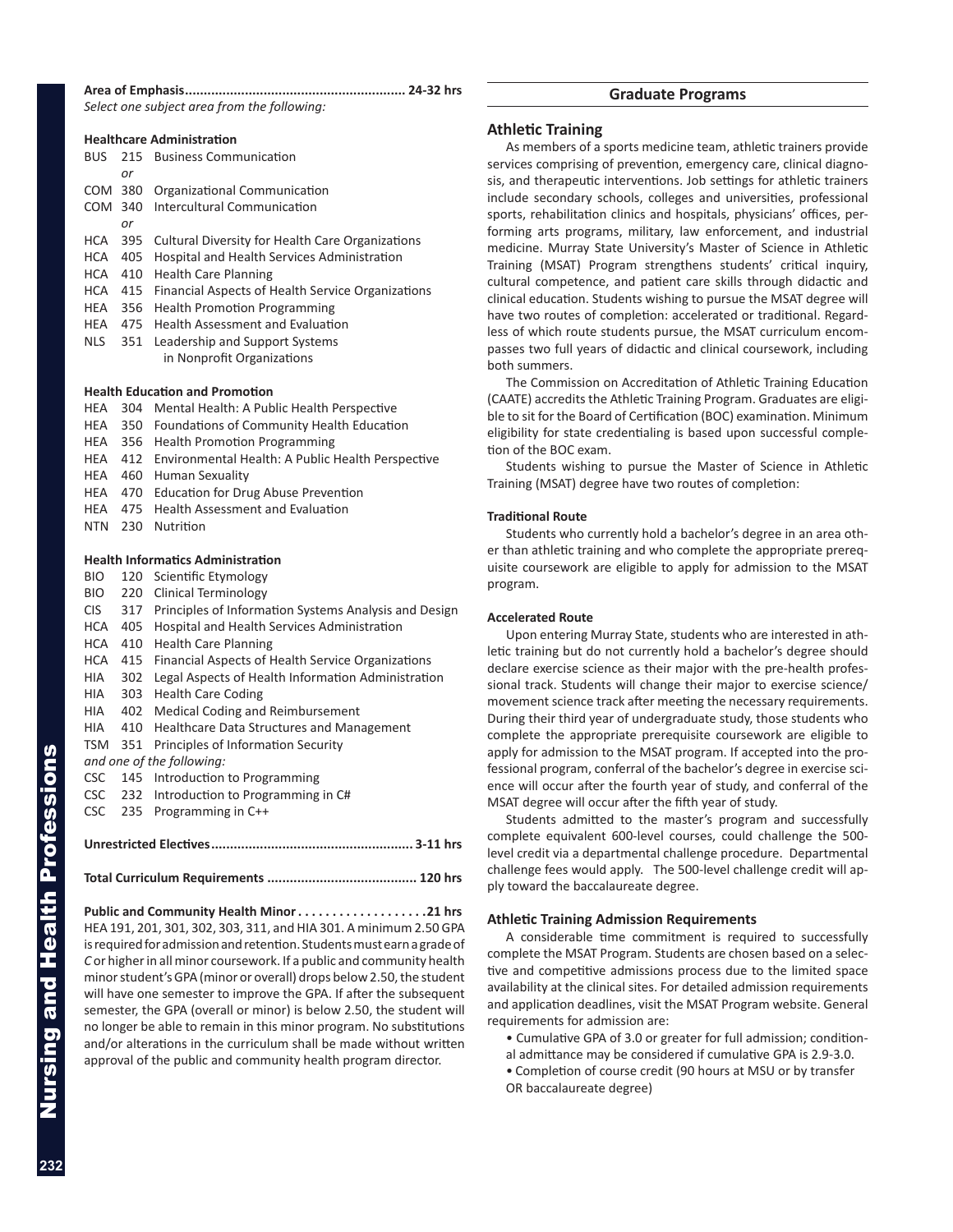**Area of Emphasis........................................................... 24-32 hrs**

*Select one subject area from the following:* 

|            |     | <b>Healthcare Administration</b>                        |
|------------|-----|---------------------------------------------------------|
| BUS.       |     | 215 Business Communication                              |
|            | or  |                                                         |
| COM 380    |     | Organizational Communication                            |
| COM        | 340 | <b>Intercultural Communication</b>                      |
|            | or  |                                                         |
| HCA        | 395 | <b>Cultural Diversity for Health Care Organizations</b> |
| HCA.       | 405 | Hospital and Health Services Administration             |
| HCA        | 410 | <b>Health Care Planning</b>                             |
| HCA        | 415 | Financial Aspects of Health Service Organizations       |
| HEA        | 356 | <b>Health Promotion Programming</b>                     |
| HEA        | 475 | <b>Health Assessment and Evaluation</b>                 |
| <b>NLS</b> | 351 | Leadership and Support Systems                          |
|            |     | in Nonprofit Organizations                              |
|            |     |                                                         |

## **Health Education and Promotion**

| HEA        | 304 | Mental Health: A Public Health Perspective            |  |  |  |
|------------|-----|-------------------------------------------------------|--|--|--|
| <b>HEA</b> | 350 | Foundations of Community Health Education             |  |  |  |
| <b>HEA</b> | 356 | <b>Health Promotion Programming</b>                   |  |  |  |
| <b>HEA</b> | 412 | Environmental Health: A Public Health Perspective     |  |  |  |
| <b>HEA</b> | 460 | Human Sexuality                                       |  |  |  |
| <b>HEA</b> | 470 | <b>Education for Drug Abuse Prevention</b>            |  |  |  |
| HEA        | 475 | <b>Health Assessment and Evaluation</b>               |  |  |  |
| <b>NTN</b> | 230 | Nutrition                                             |  |  |  |
|            |     |                                                       |  |  |  |
|            |     | <b>Health Informatics Administration</b>              |  |  |  |
| BIO.       |     | 120 Scientific Etymology                              |  |  |  |
| BIO.       | 220 | Clinical Terminology                                  |  |  |  |
| CIS.       | 317 | Principles of Information Systems Analysis and Design |  |  |  |
| <b>HCA</b> | 405 | Hospital and Health Services Administration           |  |  |  |
| <b>HCA</b> | 410 | <b>Health Care Planning</b>                           |  |  |  |
| <b>HCA</b> | 415 | Financial Aspects of Health Service Organizations     |  |  |  |
| HIA        | 302 | Legal Aspects of Health Information Administration    |  |  |  |
|            |     |                                                       |  |  |  |

- HIA 303 Health Care Coding
- HIA 402 Medical Coding and Reimbursement
- HIA 410 Healthcare Data Structures and Management
- TSM 351 Principles of Information Security
- *and one of the following:*
- CSC 145 Introduction to Programming
- CSC 232 Introduction to Programming in C#
- CSC 235 Programming in C++

## **Total Curriculum Requirements ........................................ 120 hrs**

**Public and Community Health Minor. 21 hrs** HEA 191, 201, 301, 302, 303, 311, and HIA 301. A minimum 2.50 GPA is required for admission and retention. Students must earn a grade of *C* or higher in all minor coursework. If a public and community health minor student's GPA (minor or overall) drops below 2.50, the student will have one semester to improve the GPA. If after the subsequent semester, the GPA (overall or minor) is below 2.50, the student will no longer be able to remain in this minor program. No substitutions and/or alterations in the curriculum shall be made without written approval of the public and community health program director.

# **Graduate Programs**

# **Athletic Training**

As members of a sports medicine team, athletic trainers provide services comprising of prevention, emergency care, clinical diagnosis, and therapeutic interventions. Job settings for athletic trainers include secondary schools, colleges and universities, professional sports, rehabilitation clinics and hospitals, physicians' offices, performing arts programs, military, law enforcement, and industrial medicine. Murray State University's Master of Science in Athletic Training (MSAT) Program strengthens students' critical inquiry, cultural competence, and patient care skills through didactic and clinical education. Students wishing to pursue the MSAT degree will have two routes of completion: accelerated or traditional. Regardless of which route students pursue, the MSAT curriculum encompasses two full years of didactic and clinical coursework, including both summers.

The Commission on Accreditation of Athletic Training Education (CAATE) accredits the Athletic Training Program. Graduates are eligible to sit for the Board of Certification (BOC) examination. Minimum eligibility for state credentialing is based upon successful completion of the BOC exam.

Students wishing to pursue the Master of Science in Athletic Training (MSAT) degree have two routes of completion:

## **Traditional Route**

Students who currently hold a bachelor's degree in an area other than athletic training and who complete the appropriate prerequisite coursework are eligible to apply for admission to the MSAT program.

## **Accelerated Route**

Upon entering Murray State, students who are interested in athletic training but do not currently hold a bachelor's degree should declare exercise science as their major with the pre-health professional track. Students will change their major to exercise science/ movement science track after meeting the necessary requirements. During their third year of undergraduate study, those students who complete the appropriate prerequisite coursework are eligible to apply for admission to the MSAT program. If accepted into the professional program, conferral of the bachelor's degree in exercise science will occur after the fourth year of study, and conferral of the MSAT degree will occur after the fifth year of study.

Students admitted to the master's program and successfully complete equivalent 600-level courses, could challenge the 500 level credit via a departmental challenge procedure. Departmental challenge fees would apply. The 500-level challenge credit will apply toward the baccalaureate degree.

## **Athletic Training Admission Requirements**

A considerable time commitment is required to successfully complete the MSAT Program. Students are chosen based on a selective and competitive admissions process due to the limited space availability at the clinical sites. For detailed admission requirements and application deadlines, visit the MSAT Program website. General requirements for admission are:

• Cumulative GPA of 3.0 or greater for full admission; condition-

- al admittance may be considered if cumulative GPA is 2.9-3.0.
- Completion of course credit (90 hours at MSU or by transfer OR baccalaureate degree)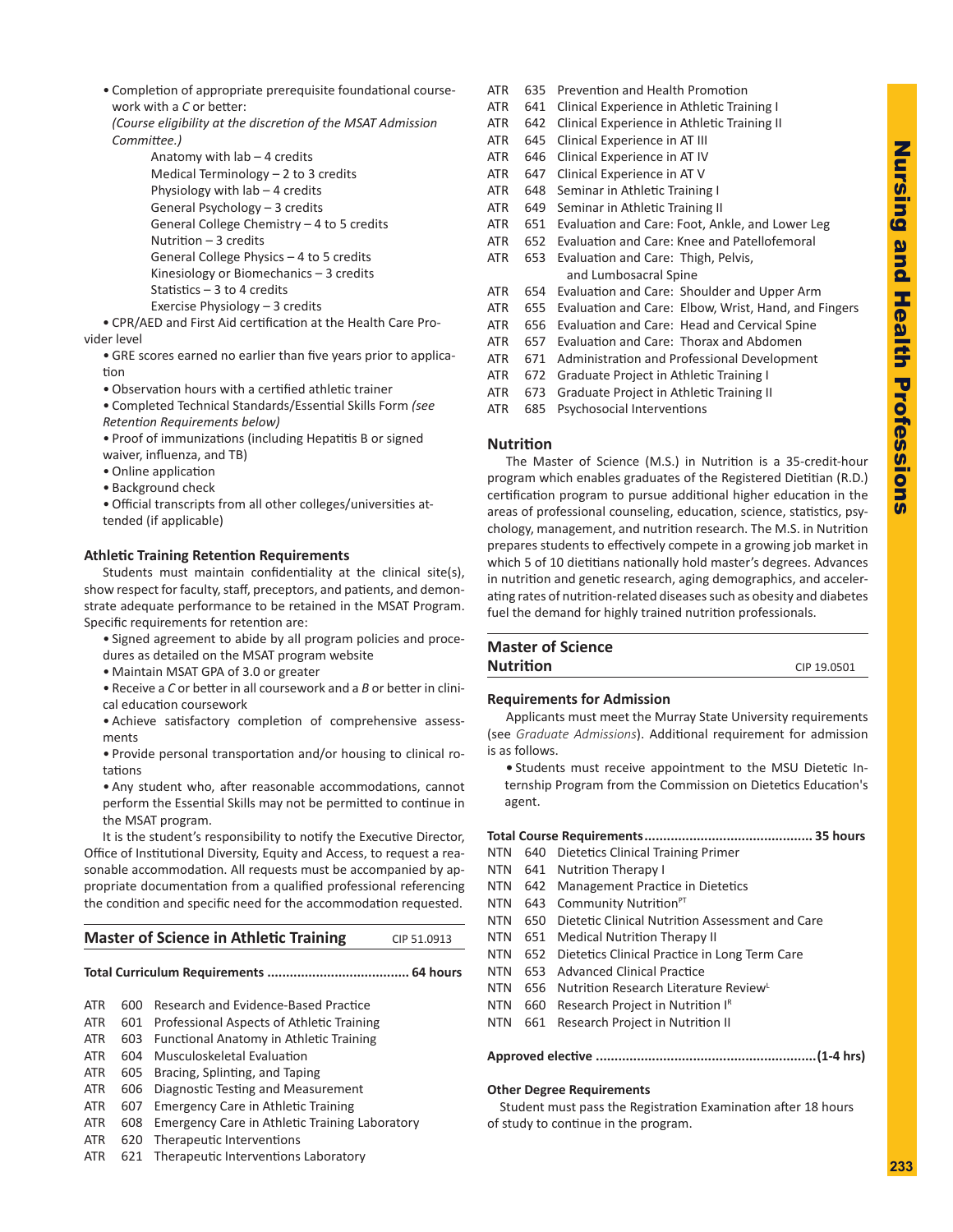• Completion of appropriate prerequisite foundational coursework with a *C* or better:

*(Course eligibility at the discretion of the MSAT Admission Committee.)*

> Anatomy with  $lab - 4$  credits Medical Terminology – 2 to 3 credits Physiology with lab – 4 credits General Psychology – 3 credits General College Chemistry – 4 to 5 credits Nutrition – 3 credits General College Physics – 4 to 5 credits Kinesiology or Biomechanics – 3 credits Statistics – 3 to 4 credits Exercise Physiology – 3 credits

• CPR/AED and First Aid certification at the Health Care Provider level

- GRE scores earned no earlier than five years prior to application
- Observation hours with a certified athletic trainer
- Completed Technical Standards/Essential Skills Form *(see Retention Requirements below)*
- Proof of immunizations (including Hepatitis B or signed waiver, influenza, and TB)
- Online application
- Background check

• Official transcripts from all other colleges/universities attended (if applicable)

## **Athletic Training Retention Requirements**

Students must maintain confidentiality at the clinical site(s), show respect for faculty, staff, preceptors, and patients, and demonstrate adequate performance to be retained in the MSAT Program. Specific requirements for retention are:

- Signed agreement to abide by all program policies and procedures as detailed on the MSAT program website
- Maintain MSAT GPA of 3.0 or greater

• Receive a *C* or better in all coursework and a *B* or better in clinical education coursework

• Achieve satisfactory completion of comprehensive assessments

• Provide personal transportation and/or housing to clinical rotations

• Any student who, after reasonable accommodations, cannot perform the Essential Skills may not be permitted to continue in the MSAT program.

It is the student's responsibility to notify the Executive Director, Office of Institutional Diversity, Equity and Access, to request a reasonable accommodation. All requests must be accompanied by appropriate documentation from a qualified professional referencing the condition and specific need for the accommodation requested.

## **Master of Science in Athletic Training** CIP 51.0913

#### **Total Curriculum Requirements ...................................... 64 hours**

- ATR 600 Research and Evidence-Based Practice
- ATR 601 Professional Aspects of Athletic Training
- ATR 603 Functional Anatomy in Athletic Training
- ATR 604 Musculoskeletal Evaluation
- ATR 605 Bracing, Splinting, and Taping
- ATR 606 Diagnostic Testing and Measurement
- ATR 607 Emergency Care in Athletic Training
- ATR 608 Emergency Care in Athletic Training Laboratory
- ATR 620 Therapeutic Interventions
- ATR 621 Therapeutic Interventions Laboratory
- ATR 635 Prevention and Health Promotion
- ATR 641 Clinical Experience in Athletic Training I
- ATR 642 Clinical Experience in Athletic Training II
- ATR 645 Clinical Experience in AT III
- ATR 646 Clinical Experience in AT IV
- ATR 647 Clinical Experience in AT V
- ATR 648 Seminar in Athletic Training I
- ATR 649 Seminar in Athletic Training II
- ATR 651 Evaluation and Care: Foot, Ankle, and Lower Leg
- ATR 652 Evaluation and Care: Knee and Patellofemoral ATR 653 Evaluation and Care: Thigh, Pelvis, and Lumbosacral Spine
- ATR 654 Evaluation and Care: Shoulder and Upper Arm
- ATR 655 Evaluation and Care: Elbow, Wrist, Hand, and Fingers
- ATR 656 Evaluation and Care: Head and Cervical Spine
- ATR 657 Evaluation and Care: Thorax and Abdomen
- ATR 671 Administration and Professional Development
- ATR 672 Graduate Project in Athletic Training I
- ATR 673 Graduate Project in Athletic Training II
- ATR 685 Psychosocial Interventions

## **Nutrition**

The Master of Science (M.S.) in Nutrition is a 35-credit-hour program which enables graduates of the Registered Dietitian (R.D.) certification program to pursue additional higher education in the areas of professional counseling, education, science, statistics, psychology, management, and nutrition research. The M.S. in Nutrition prepares students to effectively compete in a growing job market in which 5 of 10 dietitians nationally hold master's degrees. Advances in nutrition and genetic research, aging demographics, and accelerating rates of nutrition-related diseases such as obesity and diabetes fuel the demand for highly trained nutrition professionals.

| <b>Master of Science</b> |             |
|--------------------------|-------------|
| <b>Nutrition</b>         | CIP 19.0501 |
|                          |             |

## **Requirements for Admission**

Applicants must meet the Murray State University requirements (see *Graduate Admissions*). Additional requirement for admission is as follows.

**•** Students must receive appointment to the MSU Dietetic Internship Program from the Commission on Dietetics Education's agent.

# **Total Course Requirements............................................. 35 hours**

- NTN 640 Dietetics Clinical Training Primer
- NTN 641 Nutrition Therapy I
- NTN 642 Management Practice in Dietetics
- NTN 643 Community Nutrition<sup>PT</sup>
- NTN 650 Dietetic Clinical Nutrition Assessment and Care
- NTN 651 Medical Nutrition Therapy II
- NTN 652 Dietetics Clinical Practice in Long Term Care
- NTN 653 Advanced Clinical Practice
- NTN 656 Nutrition Research Literature Review
- NTN 660 Research Project in Nutrition IR
- NTN 661 Research Project in Nutrition II

#### **Approved elective ...........................................................(1-4 hrs)**

#### **Other Degree Requirements**

Student must pass the Registration Examination after 18 hours of study to continue in the program.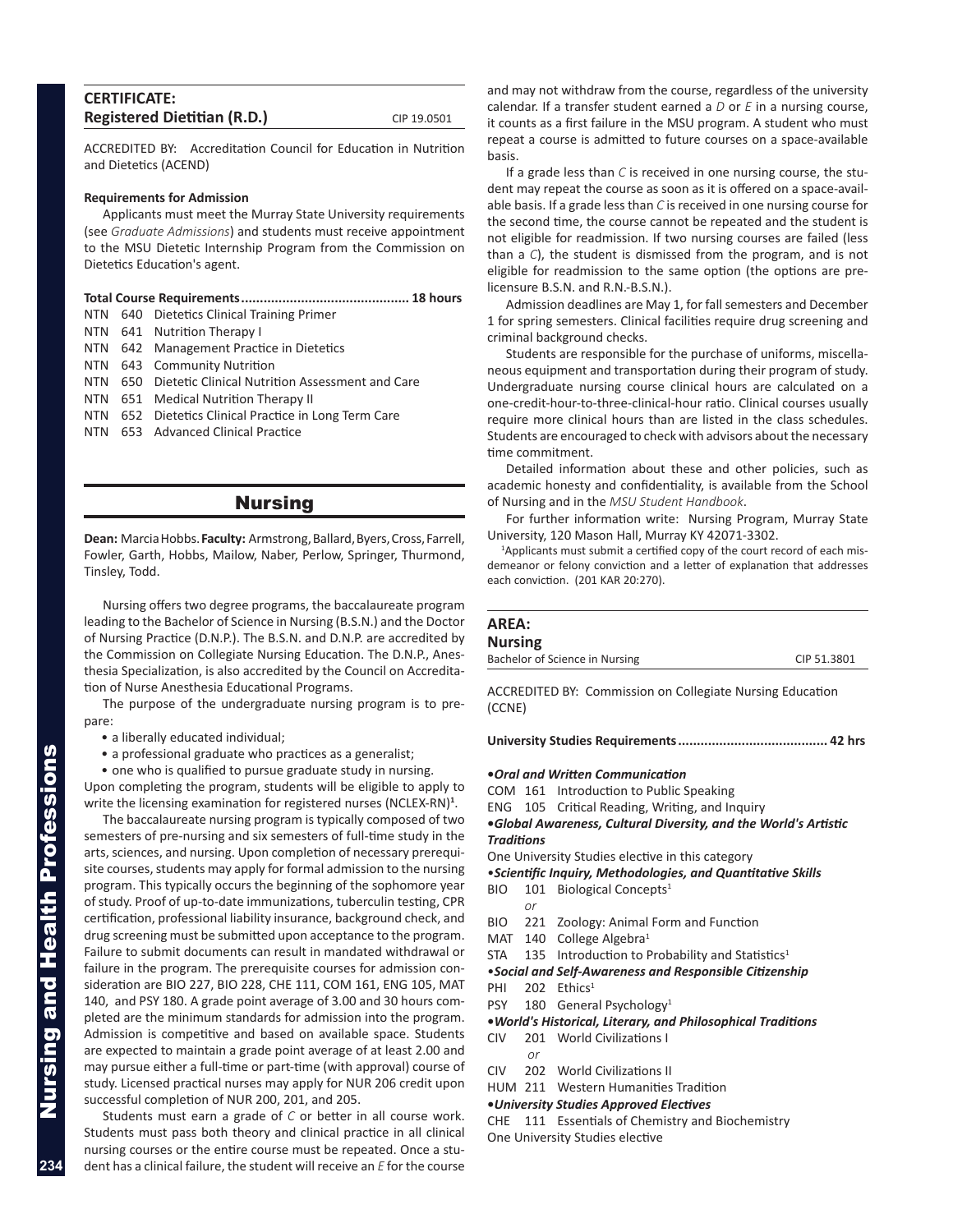| <b>CERTIFICATE:</b>                |             |
|------------------------------------|-------------|
| <b>Registered Dietitian (R.D.)</b> | CIP 19.0501 |

ACCREDITED BY: Accreditation Council for Education in Nutrition and Dietetics (ACEND)

#### **Requirements for Admission**

Applicants must meet the Murray State University requirements (see *Graduate Admissions*) and students must receive appointment to the MSU Dietetic Internship Program from the Commission on Dietetics Education's agent.

|--|--|--|--|--|

- NTN 640 Dietetics Clinical Training Primer
- NTN 641 Nutrition Therapy I
- NTN 642 Management Practice in Dietetics
- NTN 643 Community Nutrition
- NTN 650 Dietetic Clinical Nutrition Assessment and Care
- NTN 651 Medical Nutrition Therapy II
- NTN 652 Dietetics Clinical Practice in Long Term Care
- NTN 653 Advanced Clinical Practice

# Nursing

**Dean:** Marcia Hobbs. **Faculty:** Armstrong, Ballard, Byers, Cross, Farrell, Fowler, Garth, Hobbs, Mailow, Naber, Perlow, Springer, Thurmond, Tinsley, Todd.

Nursing offers two degree programs, the baccalaureate program leading to the Bachelor of Science in Nursing (B.S.N.) and the Doctor of Nursing Practice (D.N.P.). The B.S.N. and D.N.P. are accredited by the Commission on Collegiate Nursing Education. The D.N.P., Anesthesia Specialization, is also accredited by the Council on Accreditation of Nurse Anesthesia Educational Programs.

The purpose of the undergraduate nursing program is to prepare:

• a liberally educated individual;

• a professional graduate who practices as a generalist;

• one who is qualified to pursue graduate study in nursing.

Upon completing the program, students will be eligible to apply to write the licensing examination for registered nurses (NCLEX-RN)**<sup>1</sup>** .

The baccalaureate nursing program is typically composed of two semesters of pre-nursing and six semesters of full-time study in the arts, sciences, and nursing. Upon completion of necessary prerequisite courses, students may apply for formal admission to the nursing program. This typically occurs the beginning of the sophomore year of study. Proof of up-to-date immunizations, tuberculin testing, CPR certification, professional liability insurance, background check, and drug screening must be submitted upon acceptance to the program. Failure to submit documents can result in mandated withdrawal or failure in the program. The prerequisite courses for admission consideration are BIO 227, BIO 228, CHE 111, COM 161, ENG 105, MAT 140, and PSY 180. A grade point average of 3.00 and 30 hours completed are the minimum standards for admission into the program. Admission is competitive and based on available space. Students are expected to maintain a grade point average of at least 2.00 and may pursue either a full-time or part-time (with approval) course of study. Licensed practical nurses may apply for NUR 206 credit upon successful completion of NUR 200, 201, and 205.

Students must earn a grade of *C* or better in all course work. Students must pass both theory and clinical practice in all clinical nursing courses or the entire course must be repeated. Once a student has a clinical failure, the student will receive an *E* for the course

and may not withdraw from the course, regardless of the university calendar. If a transfer student earned a *D* or *E* in a nursing course, it counts as a first failure in the MSU program. A student who must repeat a course is admitted to future courses on a space-available basis.

If a grade less than *C* is received in one nursing course, the student may repeat the course as soon as it is offered on a space-available basis. If a grade less than *C* is received in one nursing course for the second time, the course cannot be repeated and the student is not eligible for readmission. If two nursing courses are failed (less than a *C*), the student is dismissed from the program, and is not eligible for readmission to the same option (the options are prelicensure B.S.N. and R.N.-B.S.N.).

Admission deadlines are May 1, for fall semesters and December 1 for spring semesters. Clinical facilities require drug screening and criminal background checks.

Students are responsible for the purchase of uniforms, miscellaneous equipment and transportation during their program of study. Undergraduate nursing course clinical hours are calculated on a one-credit-hour-to-three-clinical-hour ratio. Clinical courses usually require more clinical hours than are listed in the class schedules. Students are encouraged to check with advisors about the necessary time commitment.

Detailed information about these and other policies, such as academic honesty and confidentiality, is available from the School of Nursing and in the *MSU Student Handbook*.

For further information write: Nursing Program, Murray State University, 120 Mason Hall, Murray KY 42071-3302.

<sup>1</sup>Applicants must submit a certified copy of the court record of each misdemeanor or felony conviction and a letter of explanation that addresses each conviction. (201 KAR 20:270).

# **AREA: Nursing**

ACCREDITED BY: Commission on Collegiate Nursing Education (CCNE)

**University Studies Requirements........................................ 42 hrs**

## **•***Oral and Written Communication*

- COM 161 Introduction to Public Speaking
- ENG 105 Critical Reading, Writing, and Inquiry

**•***Global Awareness, Cultural Diversity, and the World's Artistic Traditions*

One University Studies elective in this category

- •*Scientific Inquiry, Methodologies, and Quantitative Skills*
- BIO 101 Biological Concepts<sup>1</sup>
	- *or*
- BIO 221 Zoology: Animal Form and Function
- MAT 140 College Algebra<sup>1</sup>
- $STA$  135 Introduction to Probability and Statistics<sup>1</sup>
- •*Social and Self-Awareness and Responsible Citizenship*
- PHI 202 Ethics<sup>1</sup>
- PSY 180 General Psychology<sup>1</sup>
- **•***World's Historical, Literary, and Philosophical Traditions*
- CIV 201 World Civilizations I
	- *or*
- CIV 202 World Civilizations II
- HUM 211 Western Humanities Tradition

**•***University Studies Approved Electives*

CHE 111 Essentials of Chemistry and Biochemistry

One University Studies elective

**234**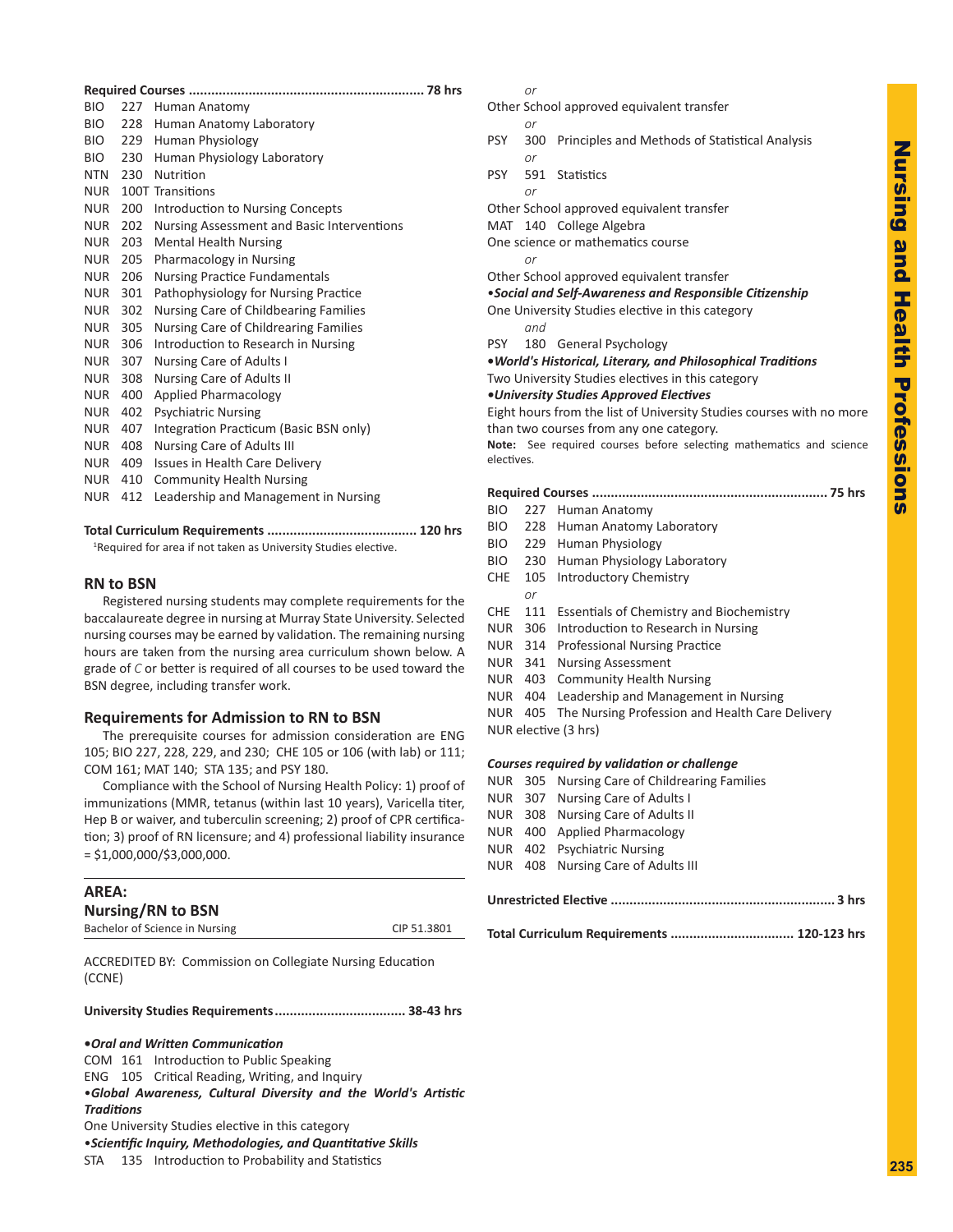| <b>BIO</b> | 227 | Human Anatomy                              |  |  |  |  |
|------------|-----|--------------------------------------------|--|--|--|--|
| BIO.       | 228 | Human Anatomy Laboratory                   |  |  |  |  |
| BIO.       | 229 | Human Physiology                           |  |  |  |  |
| BIO        | 230 | Human Physiology Laboratory                |  |  |  |  |
| <b>NTN</b> | 230 | Nutrition                                  |  |  |  |  |
| <b>NUR</b> |     | 100T Transitions                           |  |  |  |  |
| NUR.       | 200 | Introduction to Nursing Concepts           |  |  |  |  |
| <b>NUR</b> | 202 | Nursing Assessment and Basic Interventions |  |  |  |  |
| <b>NUR</b> | 203 | <b>Mental Health Nursing</b>               |  |  |  |  |
| <b>NUR</b> | 205 | Pharmacology in Nursing                    |  |  |  |  |
| <b>NUR</b> | 206 | <b>Nursing Practice Fundamentals</b>       |  |  |  |  |
| <b>NUR</b> | 301 | Pathophysiology for Nursing Practice       |  |  |  |  |
| NUR.       | 302 | Nursing Care of Childbearing Families      |  |  |  |  |
| <b>NUR</b> | 305 | Nursing Care of Childrearing Families      |  |  |  |  |
| <b>NUR</b> | 306 | Introduction to Research in Nursing        |  |  |  |  |
| <b>NUR</b> | 307 | Nursing Care of Adults I                   |  |  |  |  |
| NUR.       | 308 | Nursing Care of Adults II                  |  |  |  |  |
| <b>NUR</b> | 400 | <b>Applied Pharmacology</b>                |  |  |  |  |
| <b>NUR</b> | 402 | <b>Psychiatric Nursing</b>                 |  |  |  |  |
| NUR.       | 407 | Integration Practicum (Basic BSN only)     |  |  |  |  |
| NUR.       | 408 | Nursing Care of Adults III                 |  |  |  |  |
| <b>NUR</b> | 409 | <b>Issues in Health Care Delivery</b>      |  |  |  |  |
| <b>NUR</b> | 410 | <b>Community Health Nursing</b>            |  |  |  |  |
| <b>NUR</b> | 412 | Leadership and Management in Nursing       |  |  |  |  |
|            |     |                                            |  |  |  |  |

**Total Curriculum Requirements ........................................ 120 hrs**

<sup>1</sup>Required for area if not taken as University Studies elective.

## **RN to BSN**

Registered nursing students may complete requirements for the baccalaureate degree in nursing at Murray State University. Selected nursing courses may be earned by validation. The remaining nursing hours are taken from the nursing area curriculum shown below. A grade of *C* or better is required of all courses to be used toward the BSN degree, including transfer work.

# **Requirements for Admission to RN to BSN**

The prerequisite courses for admission consideration are ENG 105; BIO 227, 228, 229, and 230; CHE 105 or 106 (with lab) or 111; COM 161; MAT 140; STA 135; and PSY 180.

Compliance with the School of Nursing Health Policy: 1) proof of immunizations (MMR, tetanus (within last 10 years), Varicella titer, Hep B or waiver, and tuberculin screening; 2) proof of CPR certification; 3) proof of RN licensure; and 4) professional liability insurance = \$1,000,000/\$3,000,000.

| AREA:                          |             |
|--------------------------------|-------------|
| <b>Nursing/RN to BSN</b>       |             |
| Bachelor of Science in Nursing | CIP 51.3801 |
|                                |             |

ACCREDITED BY: Commission on Collegiate Nursing Education (CCNE)

**University Studies Requirements................................... 38-43 hrs**

**•***Oral and Written Communication* COM 161 Introduction to Public Speaking ENG 105 Critical Reading, Writing, and Inquiry •*Global Awareness, Cultural Diversity and the World's Artistic Traditions* One University Studies elective in this category •*Scientific Inquiry, Methodologies, and Quantitative Skills* STA 135 Introduction to Probability and Statistics

#### *or*

*or*

Other School approved equivalent transfer

- PSY 300 Principles and Methods of Statistical Analysis *or*
- PSY 591 Statistics
- *or* Other School approved equivalent transfer
- MAT 140 College Algebra
- One science or mathematics course
- *or*

Other School approved equivalent transfer •*Social and Self-Awareness and Responsible Citizenship*

One University Studies elective in this category *and*

PSY 180 General Psychology

**•***World's Historical, Literary, and Philosophical Traditions* Two University Studies electives in this category

*•University Studies Approved Electives*

Eight hours from the list of University Studies courses with no more than two courses from any one category.

**Note:** See required courses before selecting mathematics and science electives.

|--|--|--|--|

- BIO 227 Human Anatomy BIO 228 Human Anatomy Laboratory
- 
- BIO 229 Human Physiology
- BIO 230 Human Physiology Laboratory
- CHE 105 Introductory Chemistry *or*
- CHE 111 Essentials of Chemistry and Biochemistry
- NUR 306 Introduction to Research in Nursing
- NUR 314 Professional Nursing Practice
- NUR 341 Nursing Assessment
- NUR 403 Community Health Nursing
- NUR 404 Leadership and Management in Nursing
- NUR 405 The Nursing Profession and Health Care Delivery NUR elective (3 hrs)
- 

#### *Courses required by validation or challenge*

- NUR 305 Nursing Care of Childrearing Families
- NUR 307 Nursing Care of Adults I NUR 308 Nursing Care of Adults II NUR 400 Applied Pharmacology NUR 402 Psychiatric Nursing NUR 408 Nursing Care of Adults III

|--|--|

**Total Curriculum Requirements ................................. 120-123 hrs**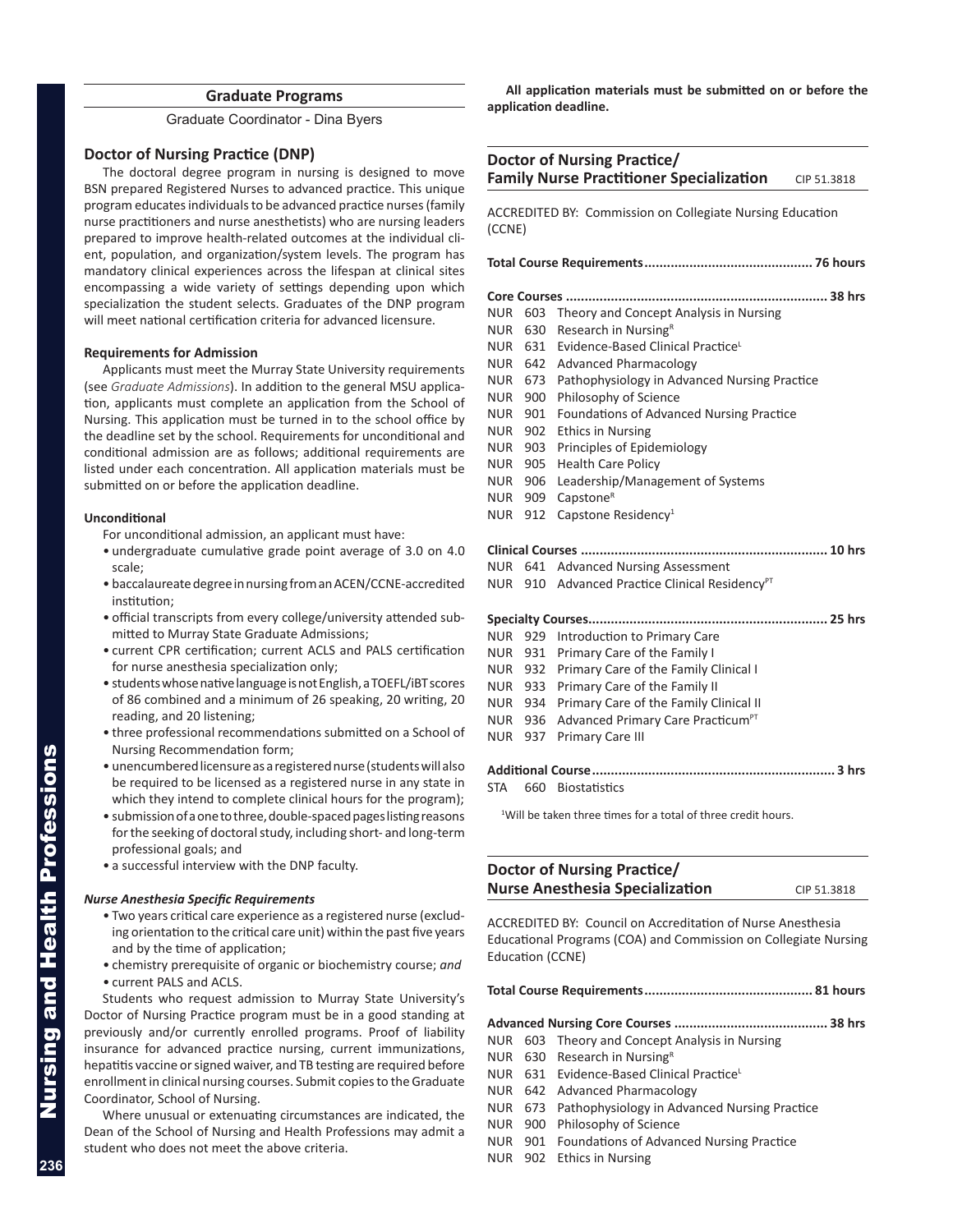# **Graduate Programs**

Graduate Coordinator - Dina Byers

## **Doctor of Nursing Practice (DNP)**

The doctoral degree program in nursing is designed to move BSN prepared Registered Nurses to advanced practice. This unique program educates individuals to be advanced practice nurses (family nurse practitioners and nurse anesthetists) who are nursing leaders prepared to improve health-related outcomes at the individual client, population, and organization/system levels. The program has mandatory clinical experiences across the lifespan at clinical sites encompassing a wide variety of settings depending upon which specialization the student selects. Graduates of the DNP program will meet national certification criteria for advanced licensure.

#### **Requirements for Admission**

Applicants must meet the Murray State University requirements (see *Graduate Admissions*). In addition to the general MSU application, applicants must complete an application from the School of Nursing. This application must be turned in to the school office by the deadline set by the school. Requirements for unconditional and conditional admission are as follows; additional requirements are listed under each concentration. All application materials must be submitted on or before the application deadline.

#### **Unconditional**

- For unconditional admission, an applicant must have:
- undergraduate cumulative grade point average of 3.0 on 4.0 scale;
- baccalaureate degree in nursing from an ACEN/CCNE-accredited institution;
- official transcripts from every college/university attended submitted to Murray State Graduate Admissions;
- current CPR certification; current ACLS and PALS certification for nurse anesthesia specialization only;
- students whose native language is not English, a TOEFL/iBT scores of 86 combined and a minimum of 26 speaking, 20 writing, 20 reading, and 20 listening;
- three professional recommendations submitted on a School of Nursing Recommendation form;
- unencumbered licensure as a registered nurse (students will also be required to be licensed as a registered nurse in any state in which they intend to complete clinical hours for the program);
- submission of a one to three, double-spaced pages listing reasons for the seeking of doctoral study, including short- and long-term professional goals; and
- a successful interview with the DNP faculty.

#### *Nurse Anesthesia Specific Requirements*

- Two years critical care experience as a registered nurse (excluding orientation to the critical care unit) within the past five years and by the time of application;
- chemistry prerequisite of organic or biochemistry course; *and*
- current PALS and ACLS.

Students who request admission to Murray State University's Doctor of Nursing Practice program must be in a good standing at previously and/or currently enrolled programs. Proof of liability insurance for advanced practice nursing, current immunizations, hepatitis vaccine or signed waiver, and TB testing are required before enrollment in clinical nursing courses. Submit copies to the Graduate Coordinator, School of Nursing.

Where unusual or extenuating circumstances are indicated, the Dean of the School of Nursing and Health Professions may admit a student who does not meet the above criteria.

**All application materials must be submitted on or before the application deadline.**

| Doctor of Nursing Practice/<br><b>Family Nurse Practitioner Specialization</b> |            |                                                           |  |  |  |
|--------------------------------------------------------------------------------|------------|-----------------------------------------------------------|--|--|--|
|                                                                                |            | CIP 51.3818                                               |  |  |  |
| ACCREDITED BY: Commission on Collegiate Nursing Education<br>(CCNE)            |            |                                                           |  |  |  |
|                                                                                |            |                                                           |  |  |  |
|                                                                                |            |                                                           |  |  |  |
| <b>NUR</b>                                                                     | 603        | Theory and Concept Analysis in Nursing                    |  |  |  |
| NUR                                                                            | 630        | Research in Nursing <sup>R</sup>                          |  |  |  |
| NUR                                                                            | 631        | Evidence-Based Clinical Practice <sup>L</sup>             |  |  |  |
| NUR                                                                            | 642        | <b>Advanced Pharmacology</b>                              |  |  |  |
| NUR                                                                            | 673        | Pathophysiology in Advanced Nursing Practice              |  |  |  |
| NUR                                                                            | 900        | Philosophy of Science                                     |  |  |  |
| NUR                                                                            | 901        | Foundations of Advanced Nursing Practice                  |  |  |  |
| NUR                                                                            | 902        | <b>Ethics in Nursing</b>                                  |  |  |  |
| NUR                                                                            | 903        | Principles of Epidemiology                                |  |  |  |
| NUR                                                                            | 905        | <b>Health Care Policy</b>                                 |  |  |  |
| NUR<br>NUR                                                                     | 906<br>909 | Leadership/Management of Systems<br>Capstone <sup>R</sup> |  |  |  |
| NUR                                                                            | 912        | Capstone Residency <sup>1</sup>                           |  |  |  |
|                                                                                |            |                                                           |  |  |  |
|                                                                                |            |                                                           |  |  |  |
| NUR                                                                            | 641        | <b>Advanced Nursing Assessment</b>                        |  |  |  |
| NUR                                                                            | 910        | Advanced Practice Clinical Residency <sup>PT</sup>        |  |  |  |
|                                                                                |            |                                                           |  |  |  |
| <b>NUR</b>                                                                     | 929        | Introduction to Primary Care                              |  |  |  |
| NUR                                                                            | 931        | Primary Care of the Family I                              |  |  |  |
| NUR                                                                            | 932        | Primary Care of the Family Clinical I                     |  |  |  |
| NUR                                                                            | 933        | Primary Care of the Family II                             |  |  |  |
| NUR                                                                            | 934        | Primary Care of the Family Clinical II                    |  |  |  |
| NUR                                                                            | 936        | Advanced Primary Care Practicum <sup>PT</sup>             |  |  |  |
| NUR                                                                            | 937        | <b>Primary Care III</b>                                   |  |  |  |

**Additional Course................................................................. 3 hrs**

STA 660 Biostatistics

<sup>1</sup>Will be taken three times for a total of three credit hours.

# **Doctor of Nursing Practice/ Nurse Anesthesia Specialization** CIP 51.3818

ACCREDITED BY: Council on Accreditation of Nurse Anesthesia Educational Programs (COA) and Commission on Collegiate Nursing Education (CCNE)

**Total Course Requirements............................................. 81 hours**

#### **Advanced Nursing Core Courses ......................................... 38 hrs**

- NUR 603 Theory and Concept Analysis in Nursing
- NUR 630 Research in Nursing $R$
- NUR 631 Evidence-Based Clinical PracticeL
- NUR 642 Advanced Pharmacology
- NUR 673 Pathophysiology in Advanced Nursing Practice
- NUR 900 Philosophy of Science
- NUR 901 Foundations of Advanced Nursing Practice
- NUR 902 Ethics in Nursing